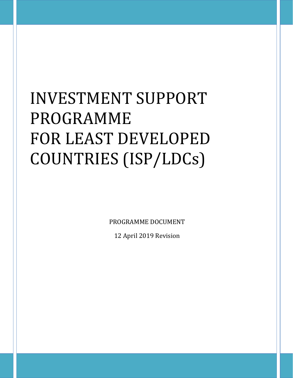# INVESTMENT SUPPORT PROGRAMME FOR LEAST DEVELOPED COUNTRIES (ISP/LDCs)

PROGRAMME DOCUMENT

12 April 2019 Revision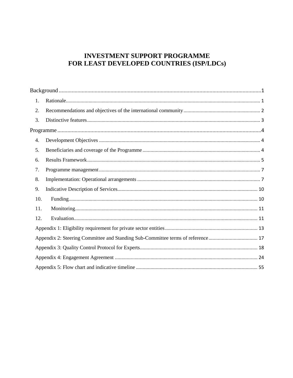## **INVESTMENT SUPPORT PROGRAMME** FOR LEAST DEVELOPED COUNTRIES (ISP/LDCs)

| 1.  |  |
|-----|--|
| 2.  |  |
| 3.  |  |
|     |  |
| 4.  |  |
| 5.  |  |
| 6.  |  |
| 7.  |  |
| 8.  |  |
| 9.  |  |
| 10. |  |
| 11. |  |
| 12. |  |
|     |  |
|     |  |
|     |  |
|     |  |
|     |  |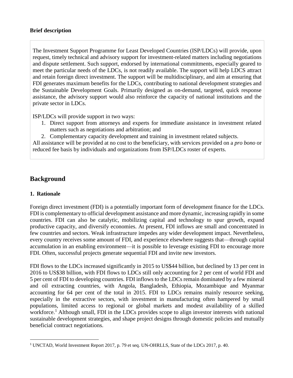## **Brief description**

The Investment Support Programme for Least Developed Countries (ISP/LDCs) will provide, upon request, timely technical and advisory support for investment-related matters including negotiations and dispute settlement. Such support, endorsed by international commitments, especially geared to meet the particular needs of the LDCs, is not readily available. The support will help LDCS attract and retain foreign direct investment. The support will be multidisciplinary, and aim at ensuring that FDI generates maximum benefits for the LDCs, contributing to national development strategies and the Sustainable Development Goals. Primarily designed as on-demand, targeted, quick response assistance, the advisory support would also reinforce the capacity of national institutions and the private sector in LDCs.

ISP/LDCs will provide support in two ways:

- 1. Direct support from attorneys and experts for immediate assistance in investment related matters such as negotiations and arbitration; and
- 2. Complementary capacity development and training in investment related subjects.

All assistance will be provided at no cost to the beneficiary, with services provided on a *pro bono* or reduced fee basis by individuals and organizations from ISP/LDCs roster of experts.

## **Background**

## **1. Rationale**

l

Foreign direct investment (FDI) is a potentially important form of development finance for the LDCs. FDI is complementary to official development assistance and more dynamic, increasing rapidly in some countries. FDI can also be catalytic, mobilizing capital and technology to spur growth, expand productive capacity, and diversify economies. At present, FDI inflows are small and concentrated in few countries and sectors. Weak infrastructure impedes any wider development impact. Nevertheless, every country receives some amount of FDI, and experience elsewhere suggests that—through capital accumulation in an enabling environment—it is possible to leverage existing FDI to encourage more FDI. Often, successful projects generate sequential FDI and invite new investors.

FDI flows to the LDCs increased significantly in 2015 to US\$44 billion, but declined by 13 per cent in 2016 to US\$38 billion, with FDI flows to LDCs still only accounting for 2 per cent of world FDI and 5 per cent of FDI to developing countries. FDI inflows to the LDCs remain dominated by a few mineral and oil extracting countries, with Angola, Bangladesh, Ethiopia, Mozambique and Myanmar accounting for 64 per cent of the total in 2015. FDI to LDCs remains mainly resource seeking, especially in the extractive sectors, with investment in manufacturing often hampered by small populations, limited access to regional or global markets and modest availability of a skilled workforce.<sup>1</sup> Although small, FDI in the LDCs provides scope to align investor interests with national sustainable development strategies, and shape project designs through domestic policies and mutually beneficial contract negotiations.

<sup>1</sup> UNCTAD, World Investment Report 2017, p. 79 et seq. UN-OHRLLS, State of the LDCs 2017, p. 40.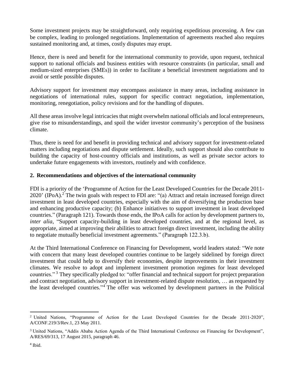Some investment projects may be straightforward, only requiring expeditious processing. A few can be complex, leading to prolonged negotiations. Implementation of agreements reached also requires sustained monitoring and, at times, costly disputes may erupt.

Hence, there is need and benefit for the international community to provide, upon request, technical support to national officials and business entities with resource constraints (in particular, small and medium-sized enterprises (SMEs)) in order to facilitate a beneficial investment negotiations and to avoid or settle possible disputes.

Advisory support for investment may encompass assistance in many areas, including assistance in negotiations of international rules, support for specific contract negotiation, implementation, monitoring, renegotiation, policy revisions and for the handling of disputes.

All these areas involve legal intricacies that might overwhelm national officials and local entrepreneurs, give rise to misunderstandings, and spoil the wider investor community's perception of the business climate.

Thus, there is need for and benefit in providing technical and advisory support for investment-related matters including negotiations and dispute settlement. Ideally, such support should also contribute to building the capacity of host-country officials and institutions, as well as private sector actors to undertake future engagements with investors, routinely and with confidence.

## **2. Recommendations and objectives of the international community**

FDI is a priority of the 'Programme of Action for the Least Developed Countries for the Decade 2011- 2020' (IPoA).<sup>2</sup> The twin goals with respect to FDI are: "(a) Attract and retain increased foreign direct investment in least developed countries, especially with the aim of diversifying the production base and enhancing productive capacity; (b) Enhance initiatives to support investment in least developed countries." (Paragraph 121). Towards those ends, the IPoA calls for action by development partners to, *inter alia*, "Support capacity-building in least developed countries, and at the regional level, as appropriate, aimed at improving their abilities to attract foreign direct investment, including the ability to negotiate mutually beneficial investment agreements." (Paragraph 122.3.b).

At the Third International Conference on Financing for Development, world leaders stated: "We note with concern that many least developed countries continue to be largely sidelined by foreign direct investment that could help to diversify their economies, despite improvements in their investment climates. We resolve to adopt and implement investment promotion regimes for least developed countries."<sup>3</sup> They specifically pledged to: "offer financial and technical support for project preparation and contract negotiation, advisory support in investment-related dispute resolution, … as requested by the least developed countries." <sup>4</sup> The offer was welcomed by development partners in the Political

 $\overline{\phantom{a}}$ <sup>2</sup> United Nations, "Programme of Action for the Least Developed Countries for the Decade 2011-2020", A/CONF.219/3/Rev.1, 23 May 2011.

<sup>&</sup>lt;sup>3</sup> United Nations, "Addis Ababa Action Agenda of the Third International Conference on Financing for Development", A/RES/69/313, 17 August 2015, paragraph 46.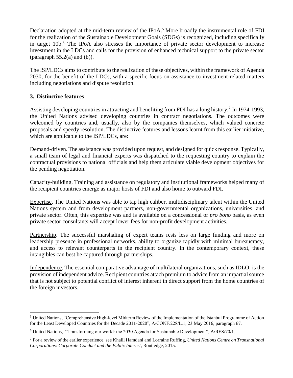Declaration adopted at the mid-term review of the IPoA.<sup>5</sup> More broadly the instrumental role of FDI for the realization of the Sustainable Development Goals (SDGs) is recognized, including specifically in target 10b.<sup>6</sup> The IPoA also stresses the importance of private sector development to increase investment in the LDCs and calls for the provision of enhanced technical support to the private sector (paragraph  $55.2(a)$  and  $(b)$ ).

The ISP/LDCs aims to contribute to the realization of these objectives, within the framework of Agenda 2030, for the benefit of the LDCs, with a specific focus on assistance to investment-related matters including negotiations and dispute resolution.

## **3. Distinctive features**

 $\overline{\phantom{a}}$ 

Assisting developing countries in attracting and benefiting from FDI has a long history.<sup>7</sup> In 1974-1993, the United Nations advised developing countries in contract negotiations. The outcomes were welcomed by countries and, usually, also by the companies themselves, which valued concrete proposals and speedy resolution. The distinctive features and lessons learnt from this earlier initiative, which are applicable to the ISP/LDCs, are:

Demand-driven. The assistance was provided upon request, and designed for quick response. Typically, a small team of legal and financial experts was dispatched to the requesting country to explain the contractual provisions to national officials and help them articulate viable development objectives for the pending negotiation.

Capacity-building. Training and assistance on regulatory and institutional frameworks helped many of the recipient countries emerge as major hosts of FDI and also home to outward FDI.

Expertise. The United Nations was able to tap high caliber, multidisciplinary talent within the United Nations system and from development partners, non-governmental organizations, universities, and private sector. Often, this expertise was and is available on a concessional or *pro bono* basis, as even private sector consultants will accept lower fees for non-profit development activities.

Partnership. The successful marshaling of expert teams rests less on large funding and more on leadership presence in professional networks, ability to organize rapidly with minimal bureaucracy, and access to relevant counterparts in the recipient country. In the contemporary context, these intangibles can best be captured through partnerships.

Independence. The essential comparative advantage of multilateral organizations, such as IDLO, is the provision of independent advice. Recipient countries attach premium to advice from an impartial source that is not subject to potential conflict of interest inherent in direct support from the home countries of the foreign investors.

<sup>5</sup> United Nations, "Comprehensive High-level Midterm Review of the Implementation of the Istanbul Programme of Action for the Least Developed Countries for the Decade 2011-2020", A/CONF.228/L.1, 23 May 2016, paragraph 67.

<sup>6</sup> United Nations, ["Transforming our world: the 2030 Agenda for Sustainable Development", A](http://www.un.org/ga/search/view_doc.asp?symbol=A/RES/70/1&Lang=E)/RES/70/1.

<sup>7</sup> For a review of the earlier experience, see Khalil Hamdani and Lorraine Ruffing, *United Nations Centre on Transnational Corporations: Corporate Conduct and the Public Interest*, Routledge, 2015.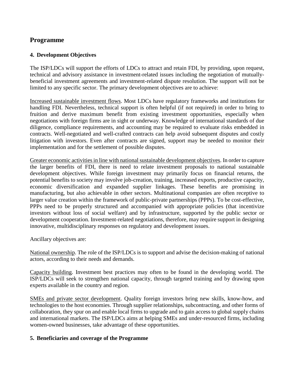## **Programme**

## **4. Development Objectives**

The ISP/LDCs will support the efforts of LDCs to attract and retain FDI, by providing, upon request, technical and advisory assistance in investment-related issues including the negotiation of mutuallybeneficial investment agreements and investment-related dispute resolution. The support will not be limited to any specific sector. The primary development objectives are to achieve:

Increased sustainable investment flows. Most LDCs have regulatory frameworks and institutions for handling FDI. Nevertheless, technical support is often helpful (if not required) in order to bring to fruition and derive maximum benefit from existing investment opportunities, especially when negotiations with foreign firms are in sight or underway. Knowledge of international standards of due diligence, compliance requirements, and accounting may be required to evaluate risks embedded in contracts. Well-negotiated and well-crafted contracts can help avoid subsequent disputes and costly litigation with investors. Even after contracts are signed, support may be needed to monitor their implementation and for the settlement of possible disputes.

Greater economic activities in line with national sustainable development objectives. In order to capture the larger benefits of FDI, there is need to relate investment proposals to national sustainable development objectives. While foreign investment may primarily focus on financial returns, the potential benefits to society may involve job-creation, training, increased exports, productive capacity, economic diversification and expanded supplier linkages. These benefits are promising in manufacturing, but also achievable in other sectors. Multinational companies are often receptive to larger value creation within the framework of public-private partnerships (PPPs). To be cost-effective, PPPs need to be properly structured and accompanied with appropriate policies (that incentivize investors without loss of social welfare) and by infrastructure, supported by the public sector or development cooperation. Investment-related negotiations, therefore, may require support in designing innovative, multidisciplinary responses on regulatory and development issues.

Ancillary objectives are:

National ownership. The role of the ISP/LDCs is to support and advise the decision-making of national actors, according to their needs and demands.

Capacity building. Investment best practices may often to be found in the developing world. The ISP/LDCs will seek to strengthen national capacity, through targeted training and by drawing upon experts available in the country and region.

SMEs and private sector development. Quality foreign investors bring new skills, know-how, and technologies to the host economies. Through supplier relationships, subcontracting, and other forms of collaboration, they spur on and enable local firms to upgrade and to gain access to global supply chains and international markets. The ISP/LDCs aims at helping SMEs and under-resourced firms, including women-owned businesses, take advantage of these opportunities.

## **5. Beneficiaries and coverage of the Programme**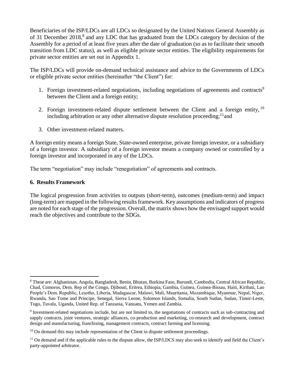Beneficiaries of the ISP/LDCs are all LDCs so designated by the United Nations General Assembly as of 31 December 2018,<sup>8</sup> and any LDC that has graduated from the LDCs category by decision of the Assembly for a period of at least five years after the date of graduation (so as to facilitate their smooth transition from LDC status), as well as eligible private sector entities. The eligibility requirements for private sector entities are set out in Appendix 1.

The ISP/LDCs will provide on-demand technical assistance and advice to the Governments of LDCs or eligible private sector entities (hereinafter "the Client") for:

- 1. Foreign investment-related negotiations, including negotiations of agreements and contracts<sup>9</sup> between the Client and a foreign entity;
- 2. Foreign investment-related dispute settlement between the Client and a foreign entity,  $10$ including arbitration or any other alternative dispute resolution proceeding;  $\frac{11}{1}$  and
- 3. Other investment-related matters.

A foreign entity means a foreign State, State-owned enterprise, private foreign investor, or a subsidiary of a foreign investor. A subsidiary of a foreign investor means a company owned or controlled by a foreign investor and incorporated in any of the LDCs.

The term "negotiation" may include "renegotiation" of agreements and contracts.

## **6. Results Framework**

The logical progression from activities to outputs (short-term), outcomes (medium-term) and impact (long-term) are mapped in the following results framework. Key assumptions and indicators of progress are noted for each stage of the progression. Overall, the matrix shows how the envisaged support would reach the objectives and contribute to the SDGs.

 $\overline{\phantom{a}}$ <sup>8</sup> These are: Afghanistan, Angola, Bangladesh, Benin, Bhutan, Burkina Faso, Burundi, Cambodia, Central African Republic, Chad, Comoros, Dem. Rep of the Congo, Djibouti, Eritrea, Ethiopia, Gambia, Guinea, Guinea-Bissau, Haiti, Kiribati, Lao People's Dem. Republic, Lesotho, Liberia, Madagascar, Malawi, Mali, Mauritania, Mozambique, Myanmar, Nepal, Niger, Rwanda, Sao Tome and Principe, Senegal, Sierra Leone, Solomon Islands, Somalia, South Sudan, Sudan, Timor-Leste, Togo, Tuvalu, Uganda, United Rep. of Tanzania, Vanuatu, Yemen and Zambia.

<sup>&</sup>lt;sup>9</sup> Investment-related negotiations include, but are not limited to, the negotiations of contracts such as sub-contracting and supply contracts, joint ventures, strategic alliances, co-production and marketing, co-research and development, contract design and manufacturing, franchising, management contracts, contract farming and licensing.

<sup>&</sup>lt;sup>10</sup> On demand this may include representation of the Client in dispute settlement proceedings.

 $11$  On demand and if the applicable rules to the dispute allow, the ISP/LDCS may also seek to identify and field the Client's party-appointed arbitrator.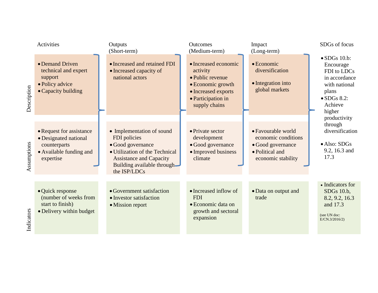|             | Activities                                                                                                | Outputs<br>(Short-term)                                                                                                                                                           | Outcomes<br>(Medium-term)                                                                                                               | Impact<br>(Long-term)                                                                                   | SDGs of focus                                                                                                                                                                                                                  |
|-------------|-----------------------------------------------------------------------------------------------------------|-----------------------------------------------------------------------------------------------------------------------------------------------------------------------------------|-----------------------------------------------------------------------------------------------------------------------------------------|---------------------------------------------------------------------------------------------------------|--------------------------------------------------------------------------------------------------------------------------------------------------------------------------------------------------------------------------------|
| Description | • Demand Driven<br>technical and expert<br>support<br>• Policy advice<br>• Capacity building              | • Increased and retained FDI<br>• Increased capacity of<br>national actors                                                                                                        | • Increased economic<br>activity<br>• Public revenue<br>• Economic growth<br>• Increased exports<br>• Participation in<br>supply chains | $\bullet$ Economic<br>diversification<br>• Integration into<br>global markets                           | $\bullet$ SDGs 10.b:<br>Encourage<br>FDI to LDCs<br>in accordance<br>with national<br>plans<br>$\bullet$ SDGs 8.2:<br>Achieve<br>higher<br>productivity<br>through<br>diversification<br>• Also: SDGs<br>9.2, 16.3 and<br>17.3 |
| Assumptions | • Request for assistance<br>• Designated national<br>counterparts<br>• Available funding and<br>expertise | • Implementation of sound<br>FDI policies<br>• Good governance<br>• Utilization of the Technical<br><b>Assistance and Capacity</b><br>Building available through-<br>the ISP/LDCs | • Private sector<br>development<br>• Good governance<br>• Improved business<br>climate                                                  | • Favourable world<br>economic conditions<br>• Good governance<br>• Political and<br>economic stability |                                                                                                                                                                                                                                |
| Indicators  | • Quick response<br>(number of weeks from<br>start to finish)<br>• Delivery within budget                 | • Government satisfaction<br>• Investor satisfaction<br>• Mission report                                                                                                          | • Increased inflow of<br><b>FDI</b><br>• Economic data on<br>growth and sectoral<br>expansion                                           | • Data on output and<br>trade                                                                           | • Indicators for<br>SDGs 10.b,<br>8.2, 9.2, 16.3<br>and 17.3<br>(see UN doc:<br>E/CN.3/2016/2)                                                                                                                                 |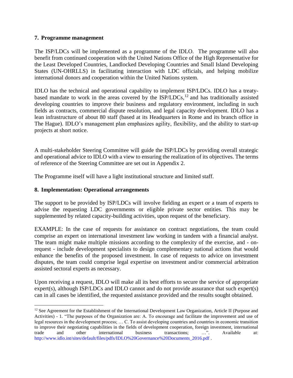## **7. Programme management**

The ISP/LDCs will be implemented as a programme of the IDLO. The programme will also benefit from continued cooperation with the United Nations Office of the High Representative for the Least Developed Countries, Landlocked Developing Countries and Small Island Developing States (UN-OHRLLS) in facilitating interaction with LDC officials, and helping mobilize international donors and cooperation within the United Nations system.

IDLO has the technical and operational capability to implement ISP/LDCs. IDLO has a treatybased mandate to work in the areas covered by the  $ISP/LDCs$ ,<sup>12</sup> and has traditionally assisted developing countries to improve their business and regulatory environment, including in such fields as contracts, commercial dispute resolution, and legal capacity development. IDLO has a lean infrastructure of about 80 staff (based at its Headquarters in Rome and its branch office in The Hague). IDLO's management plan emphasizes agility, flexibility, and the ability to start-up projects at short notice.

A multi-stakeholder Steering Committee will guide the ISP/LDCs by providing overall strategic and operational advice to IDLO with a view to ensuring the realization of its objectives. The terms of reference of the Steering Committee are set out in Appendix 2.

The Programme itself will have a light institutional structure and limited staff.

## **8. Implementation: Operational arrangements**

 $\overline{\phantom{a}}$ 

The support to be provided by ISP/LDCs will involve fielding an expert or a team of experts to advise the requesting LDC governments or eligible private sector entities. This may be supplemented by related capacity-building activities, upon request of the beneficiary.

EXAMPLE: In the case of requests for assistance on contract negotiations, the team could comprise an expert on international investment law working in tandem with a financial analyst. The team might make multiple missions according to the complexity of the exercise, and - onrequest - include development specialists to design complementary national actions that would enhance the benefits of the proposed investment. In case of requests to advice on investment disputes, the team could comprise legal expertise on investment and/or commercial arbitration assisted sectoral experts as necessary.

Upon receiving a request, IDLO will make all its best efforts to secure the service of appropriate expert(s), although ISP/LDCs and IDLO cannot and do not provide assurance that such expert(s) can in all cases be identified, the requested assistance provided and the results sought obtained.

<sup>&</sup>lt;sup>12</sup> See Agreement for the Establishment of the International Development Law Organization, Article II (Purpose and Activities) - 1. "The purposes of the Organization are: A. To encourage and facilitate the improvement and use of legal resources in the development process; … C. To assist developing countries and countries in economic transition to improve their negotiating capabilities in the fields of development cooperation, foreign investment, international trade and other international business transactions; …". Available at: [http://www.idlo.int/sites/default/files/pdfs/IDLO%20Governance%20Documents\\_2016.pdf](http://www.idlo.int/sites/default/files/pdfs/IDLO%20Governance%20Documents_2016.pdf) .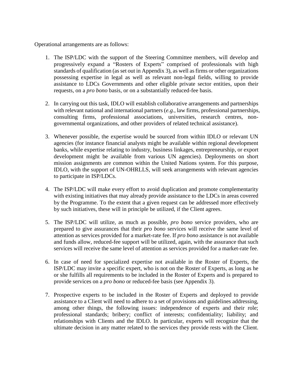Operational arrangements are as follows:

- 1. The ISP/LDC with the support of the Steering Committee members, will develop and progressively expand a "Rosters of Experts" comprised of professionals with high standards of qualification (as set out in Appendix 3), as well as firms or other organizations possessing expertise in legal as well as relevant non-legal fields, willing to provide assistance to LDCs Governments and other eligible private sector entities, upon their requests, on a *pro bono* basis, or on a substantially reduced-fee basis.
- 2. In carrying out this task, IDLO will establish collaborative arrangements and partnerships with relevant national and international partners (*e.g.,* law firms, professional partnerships, consulting firms, professional associations, universities, research centres, nongovernmental organizations, and other providers of related technical assistance).
- 3. Whenever possible, the expertise would be sourced from within IDLO or relevant UN agencies (for instance financial analysts might be available within regional development banks, while expertise relating to industry, business linkages, entrepreneurship, or export development might be available from various UN agencies). Deployments on short mission assignments are common within the United Nations system. For this purpose, IDLO, with the support of UN-OHRLLS, will seek arrangements with relevant agencies to participate in ISP/LDCs.
- 4. The ISP/LDC will make every effort to avoid duplication and promote complementarity with existing initiatives that may already provide assistance to the LDCs in areas covered by the Programme. To the extent that a given request can be addressed more effectively by such initiatives, these will in principle be utilized, if the Client agrees.
- 5. The ISP/LDC will utilize, as much as possible, *pro bono* service providers, who are prepared to give assurances that their *pro bono* services will receive the same level of attention as services provided for a market-rate fee. If *pro bono* assistance is not available and funds allow, reduced-fee support will be utilized, again, with the assurance that such services will receive the same level of attention as services provided for a market-rate fee.
- 6. In case of need for specialized expertise not available in the Roster of Experts, the ISP/LDC may invite a specific expert, who is not on the Roster of Experts, as long as he or she fulfills all requirements to be included in the Roster of Experts and is prepared to provide services on a *pro bono* or reduced-fee basis (see Appendix 3).
- 7. Prospective experts to be included in the Roster of Experts and deployed to provide assistance to a Client will need to adhere to a set of provisions and guidelines addressing, among other things, the following issues: independence of experts and their role; professional standards; bribery; conflict of interests; confidentiality; liability; and relationships with Clients and the IDLO. In particular, experts will recognize that the ultimate decision in any matter related to the services they provide rests with the Client.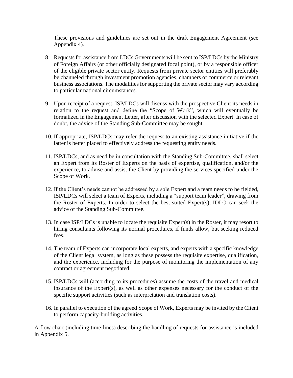These provisions and guidelines are set out in the draft Engagement Agreement (see Appendix 4).

- 8. Requests for assistance from LDCs Governments will be sent to ISP/LDCs by the Ministry of Foreign Affairs (or other officially designated focal point), or by a responsible officer of the eligible private sector entity. Requests from private sector entities will preferably be channeled through investment promotion agencies, chambers of commerce or relevant business associations. The modalities for supporting the private sector may vary according to particular national circumstances.
- 9. Upon receipt of a request, ISP/LDCs will discuss with the prospective Client its needs in relation to the request and define the "Scope of Work", which will eventually be formalized in the Engagement Letter, after discussion with the selected Expert. In case of doubt, the advice of the Standing Sub-Committee may be sought.
- 10. If appropriate, ISP/LDCs may refer the request to an existing assistance initiative if the latter is better placed to effectively address the requesting entity needs.
- 11. ISP/LDCs, and as need be in consultation with the Standing Sub-Committee, shall select an Expert from its Roster of Experts on the basis of expertise, qualification, and/or the experience, to advise and assist the Client by providing the services specified under the Scope of Work.
- 12. If the Client's needs cannot be addressed by a sole Expert and a team needs to be fielded, ISP/LDCs will select a team of Experts, including a "support team leader", drawing from the Roster of Experts. In order to select the best-suited Expert(s), IDLO can seek the advice of the Standing Sub-Committee.
- 13. In case ISP/LDCs is unable to locate the requisite Expert(s) in the Roster, it may resort to hiring consultants following its normal procedures, if funds allow, but seeking reduced fees.
- 14. The team of Experts can incorporate local experts, and experts with a specific knowledge of the Client legal system, as long as these possess the requisite expertise, qualification, and the experience, including for the purpose of monitoring the implementation of any contract or agreement negotiated.
- 15. ISP/LDCs will (according to its procedures) assume the costs of the travel and medical insurance of the Expert(s), as well as other expenses necessary for the conduct of the specific support activities (such as interpretation and translation costs).
- 16. In parallel to execution of the agreed Scope of Work, Experts may be invited by the Client to perform capacity-building activities.

A flow chart (including time-lines) describing the handling of requests for assistance is included in Appendix 5.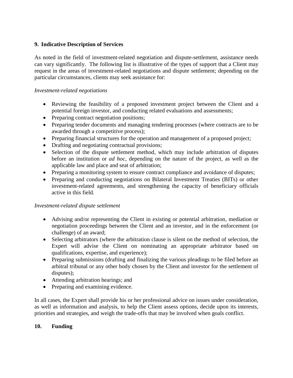## **9. Indicative Description of Services**

As noted in the field of investment-related negotiation and dispute-settlement, assistance needs can vary significantly. The following list is illustrative of the types of support that a Client may request in the areas of investment-related negotiations and dispute settlement; depending on the particular circumstances, clients may seek assistance for:

## *Investment-related negotiations*

- Reviewing the feasibility of a proposed investment project between the Client and a potential foreign investor, and conducting related evaluations and assessments;
- Preparing contract negotiation positions;
- Preparing tender documents and managing tendering processes (where contracts are to be awarded through a competitive process);
- Preparing financial structures for the operation and management of a proposed project;
- Drafting and negotiating contractual provisions;
- Selection of the dispute settlement method, which may include arbitration of disputes before an institution or *ad hoc*, depending on the nature of the project, as well as the applicable law and place and seat of arbitration;
- Preparing a monitoring system to ensure contract compliance and avoidance of disputes;
- Preparing and conducting negotiations on Bilateral Investment Treaties (BITs) or other investment-related agreements, and strengthening the capacity of beneficiary officials active in this field.

## *Investment-related dispute settlement*

- Advising and/or representing the Client in existing or potential arbitration, mediation or negotiation proceedings between the Client and an investor, and in the enforcement (or challenge) of an award;
- Selecting arbitrators (where the arbitration clause is silent on the method of selection, the Expert will advise the Client on nominating an appropriate arbitrator based on qualifications, expertise, and experience);
- Preparing submissions (drafting and finalizing the various pleadings to be filed before an arbitral tribunal or any other body chosen by the Client and investor for the settlement of disputes);
- Attending arbitration hearings; and
- Preparing and examining evidence.

In all cases, the Expert shall provide his or her professional advice on issues under consideration, as well as information and analysis, to help the Client assess options, decide upon its interests, priorities and strategies, and weigh the trade-offs that may be involved when goals conflict.

## **10. Funding**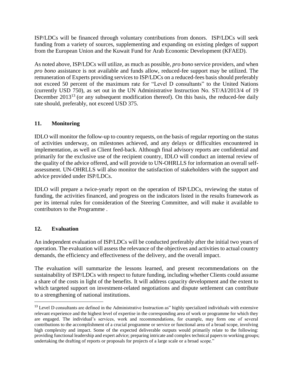ISP/LDCs will be financed through voluntary contributions from donors. ISP/LDCs will seek funding from a variety of sources, supplementing and expanding on existing pledges of support from the European Union and the Kuwait Fund for Arab Economic Development (KFAED).

As noted above, ISP/LDCs will utilize, as much as possible, *pro bono* service providers, and when *pro bono* assistance is not available and funds allow, reduced-fee support may be utilized. The remuneration of Experts providing services to ISP/LDCs on a reduced-fees basis should preferably not exceed 50 percent of the maximum rate for "Level D consultants" to the United Nations (currently USD 750), as set out in the UN Administrative Instruction No. ST/AI/2013/4 of 19 December 2013<sup>13</sup> (or any subsequent modification thereof). On this basis, the reduced-fee daily rate should, preferably, not exceed USD 375.

## **11. Monitoring**

IDLO will monitor the follow-up to country requests, on the basis of regular reporting on the status of activities underway, on milestones achieved, and any delays or difficulties encountered in implementation, as well as Client feed-back. Although final advisory reports are confidential and primarily for the exclusive use of the recipient country, IDLO will conduct an internal review of the quality of the advice offered, and will provide to UN-OHRLLS for information an overall selfassessment. UN-OHRLLS will also monitor the satisfaction of stakeholders with the support and advice provided under ISP/LDCs.

IDLO will prepare a twice-yearly report on the operation of ISP/LDCs, reviewing the status of funding, the activities financed, and progress on the indicators listed in the results framework as per its internal rules for consideration of the Steering Committee, and will make it available to contributors to the Programme .

## **12. Evaluation**

 $\overline{\phantom{a}}$ 

An independent evaluation of ISP/LDCs will be conducted preferably after the initial two years of operation. The evaluation will assess the relevance of the objectives and activities to actual country demands, the efficiency and effectiveness of the delivery, and the overall impact.

The evaluation will summarize the lessons learned, and present recommendations on the sustainability of ISP/LDCs with respect to future funding, including whether Clients could assume a share of the costs in light of the benefits. It will address capacity development and the extent to which targeted support on investment-related negotiations and dispute settlement can contribute to a strengthening of national institutions.

<sup>&</sup>lt;sup>13</sup> Level D consultants are defined in the Administrative Instruction as" highly specialized individuals with extensive relevant experience and the highest level of expertise in the corresponding area of work or programme for which they are engaged. The individual's services, work and recommendations, for example, may form one of several contributions to the accomplishment of a crucial programme or service or functional area of a broad scope, involving high complexity and impact. Some of the expected deliverable outputs would primarily relate to the following: providing functional leadership and expert advice; preparing intricate and complex technical papers to working groups; undertaking the drafting of reports or proposals for projects of a large scale or a broad scope."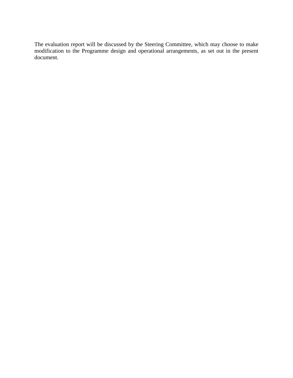The evaluation report will be discussed by the Steering Committee, which may choose to make modification to the Programme design and operational arrangements, as set out in the present document.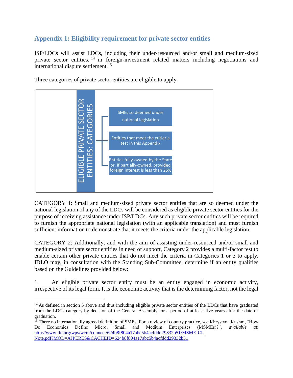## **Appendix 1: Eligibility requirement for private sector entities**

ISP/LDCs will assist LDCs, including their under-resourced and/or small and medium-sized private sector entities, <sup>14</sup> in foreign-investment related matters including negotiations and international dispute settlement.<sup>15</sup>



Three categories of private sector entities are eligible to apply.

CATEGORY 1: Small and medium-sized private sector entities that are so deemed under the national legislation of any of the LDCs will be considered as eligible private sector entities for the purpose of receiving assistance under ISP/LDCs. Any such private sector entities will be required to furnish the appropriate national legislation (with an applicable translation) and must furnish sufficient information to demonstrate that it meets the criteria under the applicable legislation.

CATEGORY 2: Additionally, and with the aim of assisting under-resourced and/or small and medium-sized private sector entities in need of support, Category 2 provides a multi-factor test to enable certain other private entities that do not meet the criteria in Categories 1 or 3 to apply. IDLO may, in consultation with the Standing Sub-Committee, determine if an entity qualifies based on the Guidelines provided below:

1. An eligible private sector entity must be an entity engaged in economic activity, irrespective of its legal form. It is the economic activity that is the determining factor, not the legal

 $\overline{\phantom{a}}$ 

 $14$  As defined in section 5 above and thus including eligible private sector entities of the LDCs that have graduated from the LDCs category by decision of the General Assembly for a period of at least five years after the date of graduation.

<sup>15</sup> There no internationally agreed definition of SMEs. For a review of country practice, *see* Khrystyna Kushni, "How Do Economies Define Micro, Small and Medium Enterprises (MSMEs)?", *available at*: [http://www.ifc.org/wps/wcm/connect/624b8f804a17abc5b4acfddd29332b51/MSME-CI-](http://www.ifc.org/wps/wcm/connect/624b8f804a17abc5b4acfddd29332b51/MSME-CI-Note.pdf?MOD=AJPERES&CACHEID=624b8f804a17abc5b4acfddd29332b51)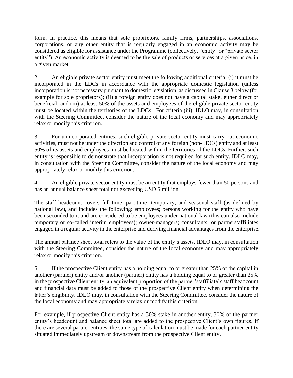form. In practice, this means that sole proprietors, family firms, partnerships, associations, corporations, or any other entity that is regularly engaged in an economic activity may be considered as eligible for assistance under the Programme (collectively, "entity" or "private sector entity"). An economic activity is deemed to be the sale of products or services at a given price, in a given market.

2. An eligible private sector entity must meet the following additional criteria: (i) it must be incorporated in the LDCs in accordance with the appropriate domestic legislation (unless incorporation is not necessary pursuant to domestic legislation, as discussed in Clause 3 below (for example for sole proprietors); (ii) a foreign entity does not have a capital stake, either direct or beneficial; and (iii) at least 50% of the assets and employees of the eligible private sector entity must be located within the territories of the LDCs. For criteria (iii), IDLO may, in consultation with the Steering Committee, consider the nature of the local economy and may appropriately relax or modify this criterion.

3. For unincorporated entities, such eligible private sector entity must carry out economic activities, must not be under the direction and control of any foreign (non-LDCs) entity and at least 50% of its assets and employees must be located within the territories of the LDCs. Further, such entity is responsible to demonstrate that incorporation is not required for such entity. IDLO may, in consultation with the Steering Committee, consider the nature of the local economy and may appropriately relax or modify this criterion.

4. An eligible private sector entity must be an entity that employs fewer than 50 persons and has an annual balance sheet total not exceeding USD 5 million.

The staff headcount covers full-time, part-time, temporary, and seasonal staff (as defined by national law), and includes the following: employees; persons working for the entity who have been seconded to it and are considered to be employees under national law (this can also include temporary or so-called interim employees); owner-managers; consultants; or partners/affiliates engaged in a regular activity in the enterprise and deriving financial advantages from the enterprise.

The annual balance sheet total refers to the value of the entity's assets. IDLO may, in consultation with the Steering Committee, consider the nature of the local economy and may appropriately relax or modify this criterion.

5. If the prospective Client entity has a holding equal to or greater than 25% of the capital in another (partner) entity and/or another (partner) entity has a holding equal to or greater than 25% in the prospective Client entity, an equivalent proportion of the partner's/affiliate's staff headcount and financial data must be added to those of the prospective Client entity when determining the latter's eligibility. IDLO may, in consultation with the Steering Committee, consider the nature of the local economy and may appropriately relax or modify this criterion.

For example, if prospective Client entity has a 30% stake in another entity, 30% of the partner entity's headcount and balance sheet total are added to the prospective Client's own figures. If there are several partner entities, the same type of calculation must be made for each partner entity situated immediately upstream or downstream from the prospective Client entity.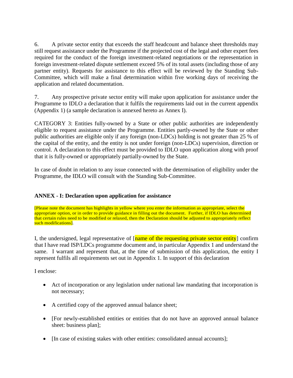6. A private sector entity that exceeds the staff headcount and balance sheet thresholds may still request assistance under the Programme if the projected cost of the legal and other expert fees required for the conduct of the foreign investment-related negotiations or the representation in foreign investment-related dispute settlement exceed 5% of its total assets (including those of any partner entity). Requests for assistance to this effect will be reviewed by the Standing Sub-Committee, which will make a final determination within five working days of receiving the application and related documentation.

7. Any prospective private sector entity will make upon application for assistance under the Programme to IDLO a declaration that it fulfils the requirements laid out in the current appendix (Appendix 1) (a sample declaration is annexed hereto as Annex I).

CATEGORY 3: Entities fully-owned by a State or other public authorities are independently eligible to request assistance under the Programme. Entities partly-owned by the State or other public authorities are eligible only if any foreign (non-LDCs) holding is not greater than 25 % of the capital of the entity, and the entity is not under foreign (non-LDCs) supervision, direction or control. A declaration to this effect must be provided to IDLO upon application along with proof that it is fully-owned or appropriately partially-owned by the State.

In case of doubt in relation to any issue connected with the determination of eligibility under the Programme, the IDLO will consult with the Standing Sub-Committee.

## **ANNEX - I: Declaration upon application for assistance**

[Please note the document has highlights in yellow where you enter the information as appropriate, select the appropriate option, or in order to provide guidance in filling out the document. Further, if IDLO has determined that certain rules need to be modified or relaxed, then the Declaration should be adjusted to appropriately reflect such modifications].

I, the undersigned, legal representative of [name of the requesting private sector entity] confirm that I have read ISP/LDCs programme document and, in particular Appendix 1 and understand the same. I warrant and represent that, at the time of submission of this application, the entity I represent fulfils all requirements set out in Appendix 1. In support of this declaration

I enclose:

- Act of incorporation or any legislation under national law mandating that incorporation is not necessary;
- A certified copy of the approved annual balance sheet;
- [For newly-established entities or entities that do not have an approved annual balance sheet: business plan];
- [In case of existing stakes with other entities: consolidated annual accounts];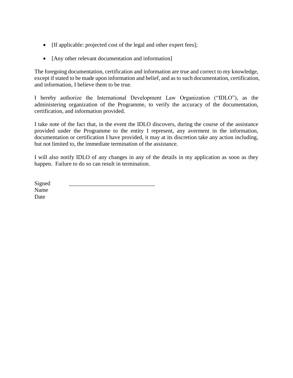- If applicable: projected cost of the legal and other expert fees];
- [Any other relevant documentation and information]

The foregoing documentation, certification and information are true and correct to my knowledge, except if stated to be made upon information and belief, and as to such documentation, certification, and information, I believe them to be true.

I hereby authorize the International Development Law Organization ("IDLO"), as the administering organization of the Programme, to verify the accuracy of the documentation, certification, and information provided.

I take note of the fact that, in the event the IDLO discovers, during the course of the assistance provided under the Programme to the entity I represent, any averment in the information, documentation or certification I have provided, it may at its discretion take any action including, but not limited to, the immediate termination of the assistance.

I will also notify IDLO of any changes in any of the details in my application as soon as they happen. Failure to do so can result in termination.

| Signed |  |  |
|--------|--|--|
| Name   |  |  |
| Date   |  |  |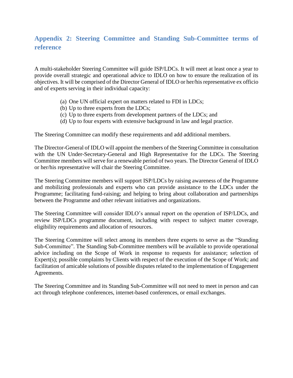## **Appendix 2: Steering Committee and Standing Sub-Committee terms of reference**

A multi-stakeholder Steering Committee will guide ISP/LDCs. It will meet at least once a year to provide overall strategic and operational advice to IDLO on how to ensure the realization of its objectives. It will be comprised of the Director General of IDLO or her/his representative ex officio and of experts serving in their individual capacity:

- (a) One UN official expert on matters related to FDI in LDCs;
- (b) Up to three experts from the LDCs;
- (c) Up to three experts from development partners of the LDCs; and
- (d) Up to four experts with extensive background in law and legal practice.

The Steering Committee can modify these requirements and add additional members.

The Director-General of IDLO will appoint the members of the Steering Committee in consultation with the UN Under-Secretary-General and High Representative for the LDCs. The Steering Committee members will serve for a renewable period of two years. The Director General of IDLO or her/his representative will chair the Steering Committee.

The Steering Committee members will support ISP/LDCs by raising awareness of the Programme and mobilizing professionals and experts who can provide assistance to the LDCs under the Programme; facilitating fund-raising; and helping to bring about collaboration and partnerships between the Programme and other relevant initiatives and organizations.

The Steering Committee will consider IDLO's annual report on the operation of ISP/LDCs, and review ISP/LDCs programme document, including with respect to subject matter coverage, eligibility requirements and allocation of resources.

The Steering Committee will select among its members three experts to serve as the "Standing Sub-Committee". The Standing Sub-Committee members will be available to provide operational advice including on the Scope of Work in response to requests for assistance; selection of Expert(s); possible complaints by Clients with respect of the execution of the Scope of Work; and facilitation of amicable solutions of possible disputes related to the implementation of Engagement Agreements.

The Steering Committee and its Standing Sub-Committee will not need to meet in person and can act through telephone conferences, internet-based conferences, or email exchanges.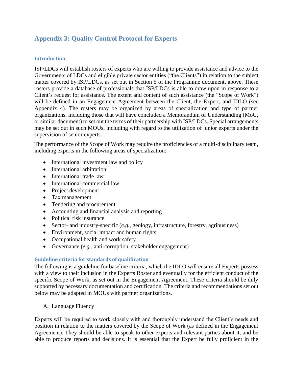## **Appendix 3: Quality Control Protocol for Experts**

## **Introduction**

ISP/LDCs will establish rosters of experts who are willing to provide assistance and advice to the Governments of LDCs and eligible private sector entities ("the Clients") in relation to the subject matter covered by ISP/LDCs, as set out in Section 5 of the Programme document, above. These rosters provide a database of professionals that ISP/LDCs is able to draw upon in response to a Client's request for assistance. The extent and content of such assistance (the "Scope of Work") will be defined in an Engagement Agreement between the Client, the Expert, and IDLO (see Appendix 4). The rosters may be organized by areas of specialization and type of partner organizations, including those that will have concluded a Memorandum of Understanding (MoU, or similar document) to set out the terms of their partnership with ISP/LDCs. Special arrangements may be set out in such MOUs, including with regard to the utilization of junior experts under the supervision of senior experts.

The performance of the Scope of Work may require the proficiencies of a multi-disciplinary team, including experts in the following areas of specialization:

- International investment law and policy
- International arbitration
- International trade law
- International commercial law
- Project development
- Tax management
- Tendering and procurement
- Accounting and financial analysis and reporting
- Political risk insurance
- Sector- and industry-specific (*e.g.*, geology, infrastructure, forestry, agribusiness)
- Environment, social impact and human rights
- Occupational health and work safety
- Governance (*e.g.,* anti-corruption, stakeholder engagement)

#### **Guideline criteria for standards of qualification**

The following is a guideline for baseline criteria, which the IDLO will ensure all Experts possess with a view to their inclusion in the Experts Roster and eventually for the efficient conduct of the specific Scope of Work, as set out in the Engagement Agreement. These criteria should be duly supported by necessary documentation and certification. The criteria and recommendations set out below may be adapted in MOUs with partner organizations.

A. Language Fluency

Experts will be required to work closely with and thoroughly understand the Client's needs and position in relation to the matters covered by the Scope of Work (as defined in the Engagement Agreement). They should be able to speak to other experts and relevant parties about it, and be able to produce reports and decisions. It is essential that the Expert be fully proficient in the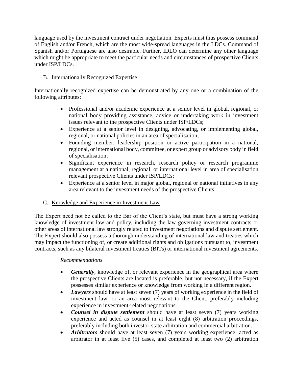language used by the investment contract under negotiation. Experts must thus possess command of English and/or French, which are the most wide-spread languages in the LDCs. Command of Spanish and/or Portuguese are also desirable. Further, IDLO can determine any other language which might be appropriate to meet the particular needs and circumstances of prospective Clients under ISP/LDCs.

## B. Internationally Recognized Expertise

Internationally recognized expertise can be demonstrated by any one or a combination of the following attributes:

- Professional and/or academic experience at a senior level in global, regional, or national body providing assistance, advice or undertaking work in investment issues relevant to the prospective Clients under ISP/LDCs;
- Experience at a senior level in designing, advocating, or implementing global, regional, or national policies in an area of specialisation;
- Founding member, leadership position or active participation in a national, regional, or international body, committee, or expert group or advisory body in field of specialisation;
- Significant experience in research, research policy or research programme management at a national, regional, or international level in area of specialisation relevant prospective Clients under ISP/LDCs;
- Experience at a senior level in major global, regional or national initiatives in any area relevant to the investment needs of the prospective Clients.

## C. Knowledge and Experience in Investment Law

The Expert need not be called to the Bar of the Client's state, but must have a strong working knowledge of investment law and policy, including the law governing investment contracts or other areas of international law strongly related to investment negotiations and dispute settlement. The Expert should also possess a thorough understanding of international law and treaties which may impact the functioning of, or create additional rights and obligations pursuant to, investment contracts, such as any bilateral investment treaties (BITs) or international investment agreements.

## *Recommendations*

- *Generally*, knowledge of, or relevant experience in the geographical area where the prospective Clients are located is preferable, but not necessary, if the Expert possesses similar experience or knowledge from working in a different region.
- *Lawyers* should have at least seven (7) years of working experience in the field of investment law, or an area most relevant to the Client, preferably including experience in investment-related negotiations.
- *Counsel in dispute settlement* should have at least seven (7) years working experience and acted as counsel in at least eight (8) arbitration proceedings, preferably including both investor-state arbitration and commercial arbitration.
- *Arbitrators* should have at least seven (7) years working experience, acted as arbitrator in at least five (5) cases, and completed at least two (2) arbitration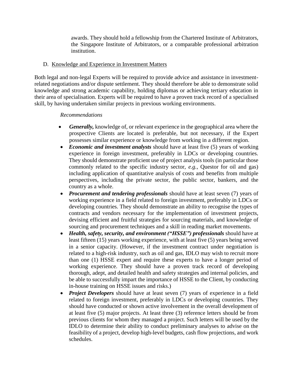awards. They should hold a fellowship from the Chartered Institute of Arbitrators, the Singapore Institute of Arbitrators, or a comparable professional arbitration institution.

## D. Knowledge and Experience in Investment Matters

Both legal and non-legal Experts will be required to provide advice and assistance in investmentrelated negotiations and/or dispute settlement. They should therefore be able to demonstrate solid knowledge and strong academic capability, holding diplomas or achieving tertiary education in their area of specialisation. Experts will be required to have a proven track record of a specialised skill, by having undertaken similar projects in previous working environments.

## *Recommendations*

- *Generally,* knowledge of, or relevant experience in the geographical area where the prospective Clients are located is preferable, but not necessary, if the Expert possesses similar experience or knowledge from working in a different region.
- *Economic and investment analysts* should have at least five (5) years of working experience in foreign investment, preferably in LDCs or developing countries. They should demonstrate proficient use of project analysis tools (in particular those commonly related to the specific industry sector, *e.g.*, Questor for oil and gas) including application of quantitative analysis of costs and benefits from multiple perspectives, including the private sector, the public sector, bankers, and the country as a whole.
- *Procurement and tendering professionals* should have at least seven (7) years of working experience in a field related to foreign investment, preferably in LDCs or developing countries. They should demonstrate an ability to recognise the types of contracts and vendors necessary for the implementation of investment projects, devising efficient and fruitful strategies for sourcing materials, and knowledge of sourcing and procurement techniques and a skill in reading market movements.
- *Health, safety, security, and environment ("HSSE") professionals* should have at least fifteen (15) years working experience, with at least five (5) years being served in a senior capacity. (However, if the investment contract under negotiation is related to a high-risk industry, such as oil and gas, IDLO may wish to recruit more than one (1) HSSE expert and require these experts to have a longer period of working experience. They should have a proven track record of developing thorough, adept, and detailed health and safety strategies and internal policies, and be able to successfully impart the importance of HSSE to the Client, by conducting in-house training on HSSE issues and risks.)
- *Project Developers* should have at least seven (7) years of experience in a field related to foreign investment, preferably in LDCs or developing countries. They should have conducted or shown active involvement in the overall development of at least five (5) major projects. At least three (3) reference letters should be from previous clients for whom they managed a project. Such letters will be used by the IDLO to determine their ability to conduct preliminary analyses to advise on the feasibility of a project, develop high-level budgets, cash flow projections, and work schedules.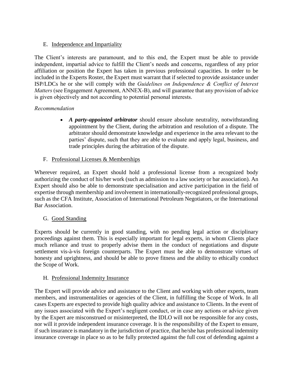## E. Independence and Impartiality

The Client's interests are paramount, and to this end, the Expert must be able to provide independent, impartial advice to fulfill the Client's needs and concerns, regardless of any prior affiliation or position the Expert has taken in previous professional capacities. In order to be included in the Experts Roster, the Expert must warrant that if selected to provide assistance under ISP/LDCs he or she will comply with the *Guidelines on Independence & Conflict of Interest Matters* (see Engagement Agreement, ANNEX-B), and will guarantee that any provision of advice is given objectively and not according to potential personal interests.

## *Recommendation*

• *A party-appointed arbitrator* should ensure absolute neutrality, notwithstanding appointment by the Client, during the arbitration and resolution of a dispute. The arbitrator should demonstrate knowledge and experience in the area relevant to the parties' dispute, such that they are able to evaluate and apply legal, business, and trade principles during the arbitration of the dispute.

## F. Professional Licenses & Memberships

Wherever required, an Expert should hold a professional license from a recognized body authorizing the conduct of his/her work (such as admission to a law society or bar association). An Expert should also be able to demonstrate specialisation and active participation in the field of expertise through membership and involvement in internationally-recognized professional groups, such as the CFA Institute, Association of International Petroleum Negotiators, or the International Bar Association.

## G. Good Standing

Experts should be currently in good standing, with no pending legal action or disciplinary proceedings against them. This is especially important for legal experts, in whom Clients place much reliance and trust to properly advise them in the conduct of negotiations and dispute settlement vis-à-vis foreign counterparts. The Expert must be able to demonstrate virtues of honesty and uprightness, and should be able to prove fitness and the ability to ethically conduct the Scope of Work.

## H. Professional Indemnity Insurance

The Expert will provide advice and assistance to the Client and working with other experts, team members, and instrumentalities or agencies of the Client, in fulfilling the Scope of Work. In all cases Experts are expected to provide high quality advice and assistance to Clients. In the event of any issues associated with the Expert's negligent conduct, or in case any actions or advice given by the Expert are misconstrued or misinterpreted, the IDLO will not be responsible for any costs, nor will it provide independent insurance coverage. It is the responsibility of the Expert to ensure, if such insurance is mandatory in the jurisdiction of practice, that he/she has professional indemnity insurance coverage in place so as to be fully protected against the full cost of defending against a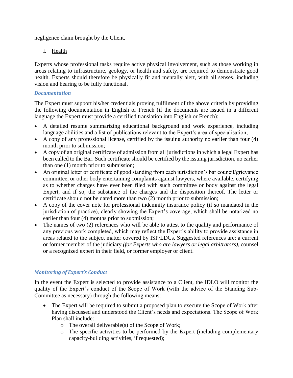negligence claim brought by the Client.

## I. Health

Experts whose professional tasks require active physical involvement, such as those working in areas relating to infrastructure, geology, or health and safety, are required to demonstrate good health. Experts should therefore be physically fit and mentally alert, with all senses, including vision and hearing to be fully functional.

## *Documentation*

The Expert must support his/her credentials proving fulfilment of the above criteria by providing the following documentation in English or French (if the documents are issued in a different language the Expert must provide a certified translation into English or French):

- A detailed resume summarizing educational background and work experience, including language abilities and a list of publications relevant to the Expert's area of specialisation;
- A copy of any professional license, certified by the issuing authority no earlier than four (4) month prior to submission;
- A copy of an original certificate of admission from all jurisdictions in which a legal Expert has been called to the Bar. Such certificate should be certified by the issuing jurisdiction, no earlier than one (1) month prior to submission;
- An original letter or certificate of good standing from each jurisdiction's bar council grievance committee, or other body entertaining complaints against lawyers, where available, certifying as to whether charges have ever been filed with such committee or body against the legal Expert, and if so, the substance of the charges and the disposition thereof. The letter or certificate should not be dated more than two (2) month prior to submission;
- A copy of the cover note for professional indemnity insurance policy (if so mandated in the jurisdiction of practice), clearly showing the Expert's coverage, which shall be notarized no earlier than four (4) months prior to submission;
- The names of two (2) references who will be able to attest to the quality and performance of any previous work completed, which may reflect the Expert's ability to provide assistance in areas related to the subject matter covered by ISP/LDCs. Suggested references are: a current or former member of the judiciary *(for Experts who are lawyers or legal arbitrators)*, counsel or a recognized expert in their field, or former employer or client.

## *Monitoring of Expert's Conduct*

In the event the Expert is selected to provide assistance to a Client, the IDLO will monitor the quality of the Expert's conduct of the Scope of Work (with the advice of the Standing Sub-Committee as necessary) through the following means:

- The Expert will be required to submit a proposed plan to execute the Scope of Work after having discussed and understood the Client's needs and expectations. The Scope of Work Plan shall include:
	- $\circ$  The overall deliverable(s) of the Scope of Work;
	- o The specific activities to be performed by the Expert (including complementary capacity-building activities, if requested);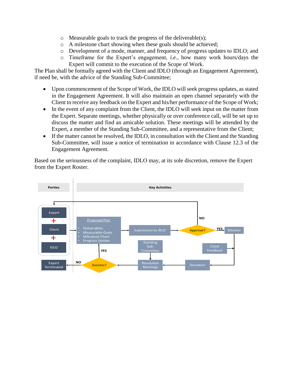- o Measurable goals to track the progress of the deliverable(s);
- o A milestone chart showing when these goals should be achieved;
- o Development of a mode, manner, and frequency of progress updates to IDLO; and
- o Timeframe for the Expert's engagement, *i.e.,* how many work hours/days the Expert will commit to the execution of the Scope of Work.

The Plan shall be formally agreed with the Client and IDLO (through an Engagement Agreement), if need be, with the advice of the Standing Sub-Committee;

- Upon commencement of the Scope of Work, the IDLO will seek progress updates, as stated in the Engagement Agreement. It will also maintain an open channel separately with the Client to receive any feedback on the Expert and his/her performance of the Scope of Work;
- In the event of any complaint from the Client, the IDLO will seek input on the matter from the Expert. Separate meetings, whether physically or over conference call, will be set up to discuss the matter and find an amicable solution. These meetings will be attended by the Expert, a member of the Standing Sub-Committee, and a representative from the Client;
- If the matter cannot be resolved, the IDLO, in consultation with the Client and the Standing Sub-Committee, will issue a notice of termination in accordance with Clause 12.3 of the Engagement Agreement.

Based on the seriousness of the complaint, IDLO may, at its sole discretion, remove the Expert from the Expert Roster.

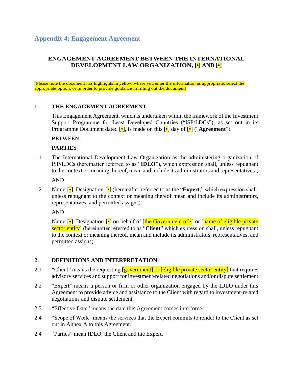## **Appendix 4: Engagement Agreement**

## **ENGAGEMENT AGREEMENT BETWEEN THE INTERNATIONAL DEVELOPMENT LAW ORGANIZATION, [•] AND [•]**

[Please note the document has highlights in yellow where you enter the information as appropriate, select the appropriate option, or in order to provide guidance in filling out the document]

## **1. THE ENGAGEMENT AGREEMENT**

This Engagement Agreement, which is undertaken within the framework of the Investment Support Programme for Least Developed Countries ("ISP/LDCs"), as set out in its Programme Document dated [•], is made on this [•] day of [•] ("**Agreement**")

BETWEEN:

#### **PARTIES**

1.1 The International Development Law Organization as the administering organization of ISP/LDCs (hereinafter referred to as "**IDLO**"), which expression shall, unless repugnant to the context or meaning thereof, mean and include its administrators and representatives);

AND

1.2 Name-[•], Designation-[•] (hereinafter referred to as the "**Expert**," which expression shall, unless repugnant to the context or meaning thereof mean and include its administrators, representatives, and permitted assigns).

AND

Name-[•], Designation-[•] on behalf of [the Government of •] or [name of eligible private] sector entity] (hereinafter referred to as "**Client**" which expression shall, unless repugnant to the context or meaning thereof, mean and include its administrators, representatives, and permitted assigns).

#### **2. DEFINITIONS AND INTERPRETATION**

- 2.1 "Client" means the requesting **[government]** or **[eligible private sector entity**] that requires advisory services and support for investment-related negotiations and/or dispute settlement.
- 2.2 "Expert" means a person or firm or other organization engaged by the IDLO under this Agreement to provide advice and assistance to the Client with regard to investment-related negotiations and dispute settlement.
- 2.3 "Effective Date" means the date this Agreement comes into force.
- 2.4 "Scope of Work" means the services that the Expert commits to render to the Client as set out in Annex A to this Agreement.
- 2.4 "Parties" mean IDLO, the Client and the Expert.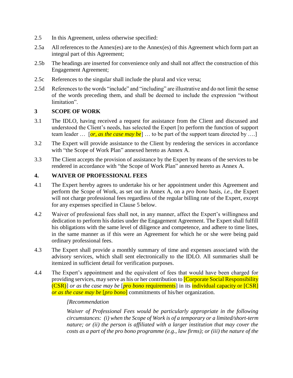- 2.5 In this Agreement, unless otherwise specified:
- 2.5a All references to the Annex(es) are to the Annex(es) of this Agreement which form part an integral part of this Agreement;
- 2.5b The headings are inserted for convenience only and shall not affect the construction of this Engagement Agreement;
- 2.5c References to the singular shall include the plural and vice versa;
- 2.5d References to the words "include" and "including" are illustrative and do not limit the sense of the words preceding them, and shall be deemed to include the expression "without limitation".

## **3 SCOPE OF WORK**

- 3.1 The IDLO, having received a request for assistance from the Client and discussed and understood the Client's needs, has selected the Expert [to perform the function of support team leader … [*or, as the case may be*] … to be part of the support team directed by ….]
- 3.2 The Expert will provide assistance to the Client by rendering the services in accordance with "the Scope of Work Plan" annexed hereto as Annex A.
- 3.3 The Client accepts the provision of assistance by the Expert by means of the services to be rendered in accordance with "the Scope of Work Plan" annexed hereto as Annex A.

## **4. WAIVER OF PROFESSIONAL FEES**

- 4.1 The Expert hereby agrees to undertake his or her appointment under this Agreement and perform the Scope of Work, as set out in Annex A, on a *pro bono* basis, *i.e.*, the Expert will not charge professional fees regardless of the regular billing rate of the Expert, except for any expenses specified in Clause 5 below.
- 4.2 Waiver of professional fees shall not, in any manner, affect the Expert's willingness and dedication to perform his duties under the Engagement Agreement. The Expert shall fulfill his obligations with the same level of diligence and competence, and adhere to time lines, in the same manner as if this were an Agreement for which he or she were being paid ordinary professional fees.
- 4.3 The Expert shall provide a monthly summary of time and expenses associated with the advisory services, which shall sent electronically to the IDLO. All summaries shall be itemized in sufficient detail for verification purposes.
- 4.4 The Expert's appointment and the equivalent of fees that would have been charged for providing services, may serve as his or her contribution to **[Corporate Social Responsibility** (CSR)] *or as the case may be* [*pro bono* requirements] in its individual capacity or [CSR] *or as the case may be* [*pro bono*] commitments of his/her organization.

#### *[Recommendation*

*Waiver of Professional Fees would be particularly appropriate in the following circumstances: (i) when the Scope of Work is of a temporary or a limited/short-term nature; or (ii) the person is affiliated with a larger institution that may cover the costs as a part of the pro bono programme (e.g., law firms); or (iii) the nature of the*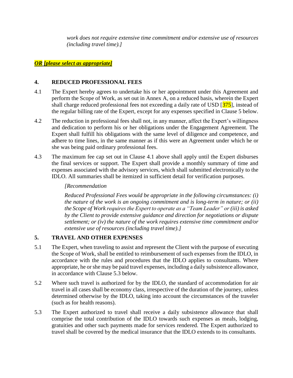*work does not require extensive time commitment and/or extensive use of resources (including travel time).]*

## *OR [please select as appropriate]*

## **4. REDUCED PROFESSIONAL FEES**

- 4.1 The Expert hereby agrees to undertake his or her appointment under this Agreement and perform the Scope of Work, as set out in Annex A, on a reduced basis, wherein the Expert shall charge reduced professional fees not exceeding a daily rate of USD [375], instead of the regular billing rate of the Expert, except for any expenses specified in Clause 5 below.
- 4.2 The reduction in professional fees shall not, in any manner, affect the Expert's willingness and dedication to perform his or her obligations under the Engagement Agreement. The Expert shall fulfill his obligations with the same level of diligence and competence, and adhere to time lines, in the same manner as if this were an Agreement under which he or she was being paid ordinary professional fees.
- 4.3 The maximum fee cap set out in Clause 4.1 above shall apply until the Expert disburses the final services or support. The Expert shall provide a monthly summary of time and expenses associated with the advisory services, which shall submitted electronically to the IDLO. All summaries shall be itemized in sufficient detail for verification purposes.

## *[Recommendation*

*Reduced Professional Fees would be appropriate in the following circumstances: (i) the nature of the work is an ongoing commitment and is long-term in nature; or (ii) the Scope of Work requires the Expert to operate as a "Team Leader" or (iii) is asked by the Client to provide extensive guidance and direction for negotiations or dispute settlement; or (iv) the nature of the work requires extensive time commitment and/or extensive use of resources (including travel time).]* 

## **5. TRAVEL AND OTHER EXPENSES**

- 5.1 The Expert, when traveling to assist and represent the Client with the purpose of executing the Scope of Work, shall be entitled to reimbursement of such expenses from the IDLO, in accordance with the rules and procedures that the IDLO applies to consultants. Where appropriate, he or she may be paid travel expenses, including a daily subsistence allowance, in accordance with Clause 5.3 below.
- 5.2 Where such travel is authorized for by the IDLO, the standard of accommodation for air travel in all cases shall be economy class, irrespective of the duration of the journey, unless determined otherwise by the IDLO, taking into account the circumstances of the traveler (such as for health reasons).
- 5.3 The Expert authorized to travel shall receive a daily subsistence allowance that shall comprise the total contribution of the IDLO towards such expenses as meals, lodging, gratuities and other such payments made for services rendered. The Expert authorized to travel shall be covered by the medical insurance that the IDLO extends to its consultants.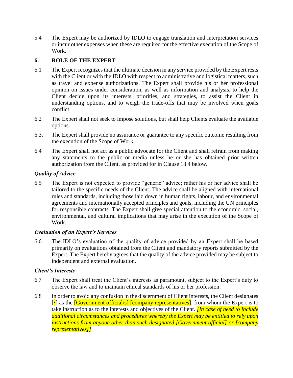5.4 The Expert may be authorized by IDLO to engage translation and interpretation services or incur other expenses when these are required for the effective execution of the Scope of Work.

## **6. ROLE OF THE EXPERT**

- 6.1 The Expert recognizes that the ultimate decision in any service provided by the Expert rests with the Client or with the IDLO with respect to administrative and logistical matters, such as travel and expense authorizations. The Expert shall provide his or her professional opinion on issues under consideration, as well as information and analysis, to help the Client decide upon its interests, priorities, and strategies, to assist the Client in understanding options, and to weigh the trade-offs that may be involved when goals conflict.
- 6.2 The Expert shall not seek to impose solutions, but shall help Clients evaluate the available options.
- 6.3. The Expert shall provide no assurance or guarantee to any specific outcome resulting from the execution of the Scope of Work.
- 6.4 The Expert shall not act as a public advocate for the Client and shall refrain from making any statements to the public or media unless he or she has obtained prior written authorization from the Client, as provided for in Clause 13.4 below.

## *Quality of Advice*

6.5 The Expert is not expected to provide "generic" advice; rather his or her advice shall be tailored to the specific needs of the Client. The advice shall be aligned with international rules and standards, including those laid down in human rights, labour, and environmental agreements and internationally accepted principles and goals, including the UN principles for responsible contracts. The Expert shall give special attention to the economic, social, environmental, and cultural implications that may arise in the execution of the Scope of Work.

## *Evaluation of an Expert's Services*

6.6 The IDLO's evaluation of the quality of advice provided by an Expert shall be based primarily on evaluations obtained from the Client and mandatory reports submitted by the Expert. The Expert hereby agrees that the quality of the advice provided may be subject to independent and external evaluation.

## *Client's Interests*

- 6.7 The Expert shall treat the Client's interests as paramount, subject to the Expert's duty to observe the law and to maintain ethical standards of his or her profession.
- 6.8 In order to avoid any confusion in the discernment of Client interests, the Client designates  $\lceil \cdot \rceil$  as the **[Government official/s] [company representatives]**, from whom the Expert is to take instruction as to the interests and objectives of the Client. *[In case of need to include additional circumstances and procedures whereby the Expert may be entitled to rely upon instructions from anyone other than such designated [Government official] or [company representatives]]*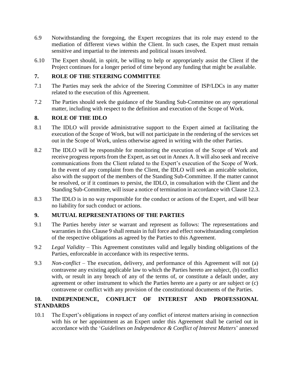- 6.9 Notwithstanding the foregoing, the Expert recognizes that its role may extend to the mediation of different views within the Client. In such cases, the Expert must remain sensitive and impartial to the interests and political issues involved.
- 6.10 The Expert should, in spirit, be willing to help or appropriately assist the Client if the Project continues for a longer period of time beyond any funding that might be available.

## **7. ROLE OF THE STEERING COMMITTEE**

- 7.1 The Parties may seek the advice of the Steering Committee of ISP/LDCs in any matter related to the execution of this Agreement.
- 7.2 The Parties should seek the guidance of the Standing Sub-Committee on any operational matter, including with respect to the definition and execution of the Scope of Work.

## **8. ROLE OF THE IDLO**

- 8.1 The IDLO will provide administrative support to the Expert aimed at facilitating the execution of the Scope of Work, but will not participate in the rendering of the services set out in the Scope of Work, unless otherwise agreed in writing with the other Parties.
- 8.2 The IDLO will be responsible for monitoring the execution of the Scope of Work and receive progress reports from the Expert, as set out in Annex A. It will also seek and receive communications from the Client related to the Expert's execution of the Scope of Work. In the event of any complaint from the Client, the IDLO will seek an amicable solution, also with the support of the members of the Standing Sub-Committee. If the matter cannot be resolved, or if it continues to persist, the IDLO, in consultation with the Client and the Standing Sub-Committee, will issue a notice of termination in accordance with Clause 12.3.
- 8.3 The IDLO is in no way responsible for the conduct or actions of the Expert, and will bear no liability for such conduct or actions.

## **9. MUTUAL REPRESENTATIONS OF THE PARTIES**

- 9.1 The Parties hereby *inter se* warrant and represent as follows: The representations and warranties in this Clause 9 shall remain in full force and effect notwithstanding completion of the respective obligations as agreed by the Parties to this Agreement.
- 9.2 *Legal Validity* This Agreement constitutes valid and legally binding obligations of the Parties, enforceable in accordance with its respective terms.
- 9.3 *Non-conflict* The execution, delivery, and performance of this Agreement will not (a) contravene any existing applicable law to which the Parties hereto are subject, (b) conflict with, or result in any breach of any of the terms of, or constitute a default under, any agreement or other instrument to which the Parties hereto are a party or are subject or (c) contravene or conflict with any provision of the constitutional documents of the Parties.

## **10. INDEPENDENCE, CONFLICT OF INTEREST AND PROFESSIONAL STANDARDS**

10.1 The Expert's obligations in respect of any conflict of interest matters arising in connection with his or her appointment as an Expert under this Agreement shall be carried out in accordance with the '*Guidelines on Independence & Conflict of Interest Matters*' annexed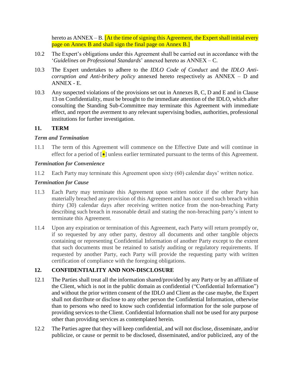hereto as  $\triangle NNEX - B$ . [At the time of signing this Agreement, the Expert shall initial every page on Annex B and shall sign the final page on Annex B.]

- 10.2 The Expert's obligations under this Agreement shall be carried out in accordance with the '*Guidelines on Professional Standards*' annexed hereto as ANNEX – C.
- 10.3 The Expert undertakes to adhere to the *IDLO Code of Conduct* and the *IDLO Anticorruption and Anti-bribery policy* annexed hereto respectively as ANNEX – D and ANNEX - E.
- 10.3 Any suspected violations of the provisions set out in Annexes B, C, D and E and in Clause 13 on Confidentiality, must be brought to the immediate attention of the IDLO, which after consulting the Standing Sub-Committee may terminate this Agreement with immediate effect, and report the averment to any relevant supervising bodies, authorities, professional institutions for further investigation.

## **11. TERM**

## *Term and Termination*

11.1 The term of this Agreement will commence on the Effective Date and will continue in effect for a period of  $\lceil \bullet \rceil$  unless earlier terminated pursuant to the terms of this Agreement.

## *Termination for Convenience*

11.2 Each Party may terminate this Agreement upon sixty (60) calendar days' written notice.

## *Termination for Cause*

- 11.3 Each Party may terminate this Agreement upon written notice if the other Party has materially breached any provision of this Agreement and has not cured such breach within thirty (30) calendar days after receiving written notice from the non-breaching Party describing such breach in reasonable detail and stating the non-breaching party's intent to terminate this Agreement.
- 11.4 Upon any expiration or termination of this Agreement, each Party will return promptly or, if so requested by any other party, destroy all documents and other tangible objects containing or representing Confidential Information of another Party except to the extent that such documents must be retained to satisfy auditing or regulatory requirements. If requested by another Party, each Party will provide the requesting party with written certification of compliance with the foregoing obligations.

## **12. CONFIDENTIALITY AND NON-DISCLOSURE**

- 12.1 The Parties shall treat all the information shared/provided by any Party or by an affiliate of the Client, which is not in the public domain as confidential ("Confidential Information") and without the prior written consent of the IDLO and Client as the case maybe, the Expert shall not distribute or disclose to any other person the Confidential Information, otherwise than to persons who need to know such confidential information for the sole purpose of providing services to the Client. Confidential Information shall not be used for any purpose other than providing services as contemplated herein.
- 12.2 The Parties agree that they will keep confidential, and will not disclose, disseminate, and/or publicize, or cause or permit to be disclosed, disseminated, and/or publicized, any of the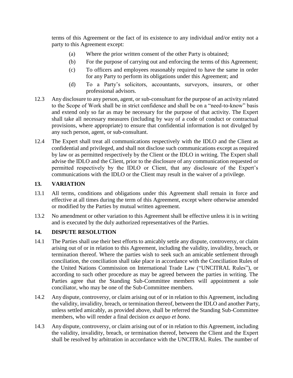terms of this Agreement or the fact of its existence to any individual and/or entity not a party to this Agreement except:

- (a) Where the prior written consent of the other Party is obtained;
- (b) For the purpose of carrying out and enforcing the terms of this Agreement;
- (c) To officers and employees reasonably required to have the same in order for any Party to perform its obligations under this Agreement; and
- (d) To a Party's solicitors, accountants, surveyors, insurers, or other professional advisors.
- 12.3 Any disclosure to any person, agent, or sub-consultant for the purpose of an activity related to the Scope of Work shall be in strict confidence and shall be on a "need-to-know" basis and extend only so far as may be necessary for the purpose of that activity. The Expert shall take all necessary measures (including by way of a code of conduct or contractual provisions, where appropriate) to ensure that confidential information is not divulged by any such person, agent, or sub-consultant.
- 12.4 The Expert shall treat all communications respectively with the IDLO and the Client as confidential and privileged, and shall not disclose such communications except as required by law or as permitted respectively by the Client or the IDLO in writing. The Expert shall advise the IDLO and the Client, prior to the disclosure of any communication requested or permitted respectively by the IDLO or Client, that any disclosure of the Expert's communications with the IDLO or the Client may result in the waiver of a privilege.

## **13. VARIATION**

- 13.1 All terms, conditions and obligations under this Agreement shall remain in force and effective at all times during the term of this Agreement, except where otherwise amended or modified by the Parties by mutual written agreement.
- 13.2 No amendment or other variation to this Agreement shall be effective unless it is in writing and is executed by the duly authorized representatives of the Parties.

## **14. DISPUTE RESOLUTION**

- 14.1 The Parties shall use their best efforts to amicably settle any dispute, controversy, or claim arising out of or in relation to this Agreement, including the validity, invalidity, breach, or termination thereof. Where the parties wish to seek such an amicable settlement through conciliation, the conciliation shall take place in accordance with the Conciliation Rules of the United Nations Commission on International Trade Law ("UNCITRAL Rules"), or according to such other procedure as may be agreed between the parties in writing. The Parties agree that the Standing Sub-Committee members will appointment a sole conciliator, who may be one of the Sub-Committee members.
- 14.2 Any dispute, controversy, or claim arising out of or in relation to this Agreement, including the validity, invalidity, breach, or termination thereof, between the IDLO and another Party, unless settled amicably, as provided above, shall be referred the Standing Sub-Committee members, who will render a final decision *ex aequo et bono*.
- 14.3 Any dispute, controversy, or claim arising out of or in relation to this Agreement, including the validity, invalidity, breach, or termination thereof, between the Client and the Expert shall be resolved by arbitration in accordance with the UNCITRAL Rules. The number of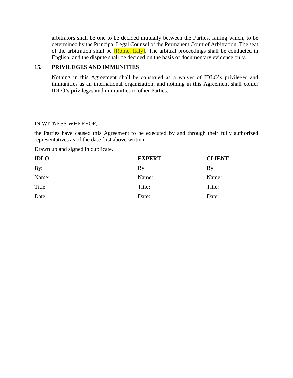arbitrators shall be one to be decided mutually between the Parties, failing which, to be determined by the Principal Legal Counsel of the Permanent Court of Arbitration. The seat of the arbitration shall be  $[Rome, Italy]$ . The arbitral proceedings shall be conducted in English, and the dispute shall be decided on the basis of documentary evidence only.

## **15. PRIVILEGES AND IMMUNITIES**

Nothing in this Agreement shall be construed as a waiver of IDLO's privileges and immunities as an international organization, and nothing in this Agreement shall confer IDLO's privileges and immunities to other Parties.

#### IN WITNESS WHEREOF,

the Parties have caused this Agreement to be executed by and through their fully authorized representatives as of the date first above written.

Drawn up and signed in duplicate.

| <b>IDLO</b> | <b>EXPERT</b> | <b>CLIENT</b>  |
|-------------|---------------|----------------|
| By:         | $\rm\,By:$    | $\mathbf{By:}$ |
| Name:       | Name:         | Name:          |
| Title:      | Title:        | Title:         |
| Date:       | Date:         | Date:          |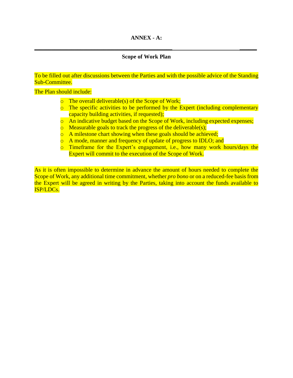## **\_\_\_\_\_\_\_\_\_\_\_\_\_\_\_\_\_\_\_\_\_\_\_\_\_\_\_\_\_\_\_\_\_\_\_\_\_\_\_\_\_\_\_\_\_\_\_\_ \_\_\_\_\_\_ Scope of Work Plan**

To be filled out after discussions between the Parties and with the possible advice of the Standing Sub-Committee.

The Plan should include:

- $\circ$  The overall deliverable(s) of the Scope of Work;
- o The specific activities to be performed by the Expert (including complementary capacity building activities, if requested);
- o An indicative budget based on the Scope of Work, including expected expenses;
- $\circ$  Measurable goals to track the progress of the deliverable(s);
- o A milestone chart showing when these goals should be achieved;
- o A mode, manner and frequency of update of progress to IDLO; and
- o Timeframe for the Expert's engagement, i.e., how many work hours/days the Expert will commit to the execution of the Scope of Work.

As it is often impossible to determine in advance the amount of hours needed to complete the Scope of Work, any additional time commitment, whether *pro bono* or on a reduced-fee basis from the Expert will be agreed in writing by the Parties, taking into account the funds available to ISP/LDCs.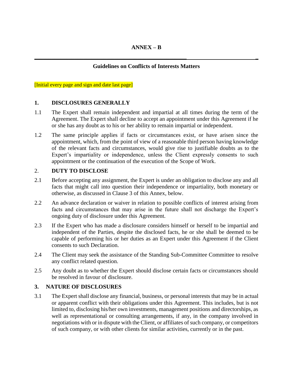## **ANNEX – B**

## **\_\_\_\_\_\_\_\_\_\_\_\_\_\_\_\_\_\_\_\_\_\_\_\_\_\_\_\_\_\_\_\_\_\_\_\_\_\_\_\_\_\_\_\_\_\_\_\_\_\_\_\_\_ \_ Guidelines on Conflicts of Interests Matters**

[Initial every page and sign and date last page]

#### **1. DISCLOSURES GENERALLY**

- 1.1 The Expert shall remain independent and impartial at all times during the term of the Agreement. The Expert shall decline to accept an appointment under this Agreement if he or she has any doubt as to his or her ability to remain impartial or independent.
- 1.2 The same principle applies if facts or circumstances exist, or have arisen since the appointment, which, from the point of view of a reasonable third person having knowledge of the relevant facts and circumstances, would give rise to justifiable doubts as to the Expert's impartiality or independence, unless the Client expressly consents to such appointment or the continuation of the execution of the Scope of Work.

#### 2. **DUTY TO DISCLOSE**

- 2.1 Before accepting any assignment, the Expert is under an obligation to disclose any and all facts that might call into question their independence or impartiality, both monetary or otherwise, as discussed in Clause 3 of this Annex, below.
- 2.2 An advance declaration or waiver in relation to possible conflicts of interest arising from facts and circumstances that may arise in the future shall not discharge the Expert's ongoing duty of disclosure under this Agreement.
- 2.3 If the Expert who has made a disclosure considers himself or herself to be impartial and independent of the Parties, despite the disclosed facts, he or she shall be deemed to be capable of performing his or her duties as an Expert under this Agreement if the Client consents to such Declaration.
- 2.4 The Client may seek the assistance of the Standing Sub-Committee Committee to resolve any conflict related question.
- 2.5 Any doubt as to whether the Expert should disclose certain facts or circumstances should be resolved in favour of disclosure.

#### **3. NATURE OF DISCLOSURES**

3.1 The Expert shall disclose any financial, business, or personal interests that may be in actual or apparent conflict with their obligations under this Agreement. This includes, but is not limited to, disclosing his/her own investments, management positions and directorships, as well as representational or consulting arrangements, if any, in the company involved in negotiations with or in dispute with the Client, or affiliates of such company, or competitors of such company, or with other clients for similar activities, currently or in the past.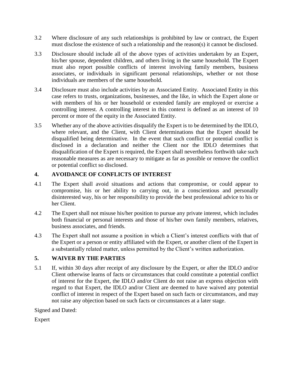- 3.2 Where disclosure of any such relationships is prohibited by law or contract, the Expert must disclose the existence of such a relationship and the reason(s) it cannot be disclosed.
- 3.3 Disclosure should include all of the above types of activities undertaken by an Expert, his/her spouse, dependent children, and others living in the same household. The Expert must also report possible conflicts of interest involving family members, business associates, or individuals in significant personal relationships, whether or not those individuals are members of the same household.
- 3.4 Disclosure must also include activities by an Associated Entity. Associated Entity in this case refers to trusts, organizations, businesses, and the like, in which the Expert alone or with members of his or her household or extended family are employed or exercise a controlling interest. A controlling interest in this context is defined as an interest of 10 percent or more of the equity in the Associated Entity.
- 3.5 Whether any of the above activities disqualify the Expert is to be determined by the IDLO, where relevant, and the Client, with Client determinations that the Expert should be disqualified being determinative. In the event that such conflict or potential conflict is disclosed in a declaration and neither the Client nor the IDLO determines that disqualification of the Expert is required, the Expert shall nevertheless forthwith take such reasonable measures as are necessary to mitigate as far as possible or remove the conflict or potential conflict so disclosed.

## **4. AVOIDANCE OF CONFLICTS OF INTEREST**

- 4.1 The Expert shall avoid situations and actions that compromise, or could appear to compromise, his or her ability to carrying out, in a conscientious and personally disinterested way, his or her responsibility to provide the best professional advice to his or her Client.
- 4.2 The Expert shall not misuse his/her position to pursue any private interest, which includes both financial or personal interests and those of his/her own family members, relatives, business associates, and friends.
- 4.3 The Expert shall not assume a position in which a Client's interest conflicts with that of the Expert or a person or entity affiliated with the Expert, or another client of the Expert in a substantially related matter, unless permitted by the Client's written authorization.

## **5. WAIVER BY THE PARTIES**

5.1 If, within 30 days after receipt of any disclosure by the Expert, or after the IDLO and/or Client otherwise learns of facts or circumstances that could constitute a potential conflict of interest for the Expert, the IDLO and/or Client do not raise an express objection with regard to that Expert, the IDLO and/or Client are deemed to have waived any potential conflict of interest in respect of the Expert based on such facts or circumstances, and may not raise any objection based on such facts or circumstances at a later stage.

Signed and Dated:

Expert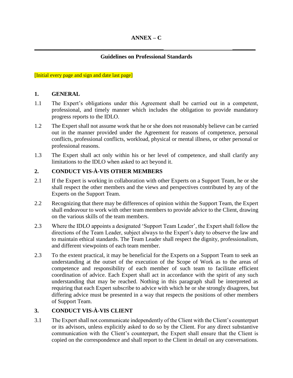## **Guidelines on Professional Standards**

**\_\_\_\_\_\_\_\_\_\_\_\_\_\_\_\_\_\_\_\_\_\_\_\_\_\_\_\_\_\_\_\_\_\_\_\_\_\_\_\_\_\_\_\_\_ \_\_\_\_\_\_\_\_** 

[Initial every page and sign and date last page]

## **1. GENERAL**

- 1.1 The Expert's obligations under this Agreement shall be carried out in a competent, professional, and timely manner which includes the obligation to provide mandatory progress reports to the IDLO.
- 1.2 The Expert shall not assume work that he or she does not reasonably believe can be carried out in the manner provided under the Agreement for reasons of competence, personal conflicts, professional conflicts, workload, physical or mental illness, or other personal or professional reasons.
- 1.3 The Expert shall act only within his or her level of competence, and shall clarify any limitations to the IDLO when asked to act beyond it.

## **2. CONDUCT VIS-À-VIS OTHER MEMBERS**

- 2.1 If the Expert is working in collaboration with other Experts on a Support Team, he or she shall respect the other members and the views and perspectives contributed by any of the Experts on the Support Team.
- 2.2 Recognizing that there may be differences of opinion within the Support Team, the Expert shall endeavour to work with other team members to provide advice to the Client, drawing on the various skills of the team members.
- 2.3 Where the IDLO appoints a designated 'Support Team Leader', the Expert shall follow the directions of the Team Leader, subject always to the Expert's duty to observe the law and to maintain ethical standards. The Team Leader shall respect the dignity, professionalism, and different viewpoints of each team member.
- 2.3 To the extent practical, it may be beneficial for the Experts on a Support Team to seek an understanding at the outset of the execution of the Scope of Work as to the areas of competence and responsibility of each member of such team to facilitate efficient coordination of advice. Each Expert shall act in accordance with the spirit of any such understanding that may be reached. Nothing in this paragraph shall be interpreted as requiring that each Expert subscribe to advice with which he or she strongly disagrees, but differing advice must be presented in a way that respects the positions of other members of Support Team.

## **3. CONDUCT VIS-À-VIS CLIENT**

3.1 The Expert shall not communicate independently of the Client with the Client's counterpart or its advisors, unless explicitly asked to do so by the Client. For any direct substantive communication with the Client's counterpart, the Expert shall ensure that the Client is copied on the correspondence and shall report to the Client in detail on any conversations.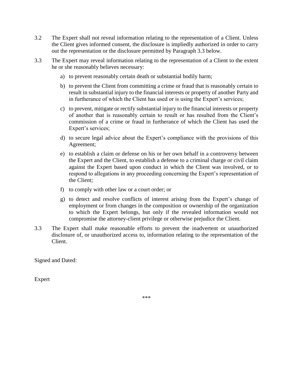- 3.2 The Expert shall not reveal information relating to the representation of a Client. Unless the Client gives informed consent, the disclosure is impliedly authorized in order to carry out the representation or the disclosure permitted by Paragraph 3.3 below.
- 3.3 The Expert may reveal information relating to the representation of a Client to the extent he or she reasonably believes necessary:
	- a) to prevent reasonably certain death or substantial bodily harm;
	- b) to prevent the Client from committing a crime or fraud that is reasonably certain to result in substantial injury to the financial interests or property of another Party and in furtherance of which the Client has used or is using the Expert's services;
	- c) to prevent, mitigate or rectify substantial injury to the financial interests or property of another that is reasonably certain to result or has resulted from the Client's commission of a crime or fraud in furtherance of which the Client has used the Expert's services;
	- d) to secure legal advice about the Expert's compliance with the provisions of this Agreement;
	- e) to establish a claim or defense on his or her own behalf in a controversy between the Expert and the Client, to establish a defense to a criminal charge or civil claim against the Expert based upon conduct in which the Client was involved, or to respond to allegations in any proceeding concerning the Expert's representation of the Client;
	- f) to comply with other law or a court order; or
	- g) to detect and resolve conflicts of interest arising from the Expert's change of employment or from changes in the composition or ownership of the organization to which the Expert belongs, but only if the revealed information would not compromise the attorney-client privilege or otherwise prejudice the Client.
- 3.3 The Expert shall make reasonable efforts to prevent the inadvertent or unauthorized disclosure of, or unauthorized access to, information relating to the representation of the Client.

Signed and Dated:

Expert

\*\*\*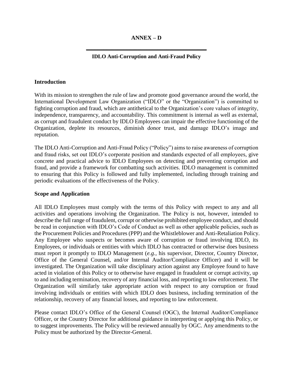## **ANNEX – D**

## **\_\_\_\_\_\_\_\_\_\_\_\_\_\_\_\_\_\_\_\_\_\_\_\_\_\_\_\_\_\_\_\_\_\_\_\_\_\_\_\_\_\_ IDLO Anti-Corruption and Anti-Fraud Policy**

#### **Introduction**

With its mission to strengthen the rule of law and promote good governance around the world, the International Development Law Organization ("IDLO" or the "Organization") is committed to fighting corruption and fraud, which are antithetical to the Organization's core values of integrity, independence, transparency, and accountability. This commitment is internal as well as external, as corrupt and fraudulent conduct by IDLO Employees can impair the effective functioning of the Organization, deplete its resources, diminish donor trust, and damage IDLO's image and reputation.

The IDLO Anti-Corruption and Anti-Fraud Policy ("Policy") aims to raise awareness of corruption and fraud risks, set out IDLO's corporate position and standards expected of all employees, give concrete and practical advice to IDLO Employees on detecting and preventing corruption and fraud, and provide a framework for combatting such activities. IDLO management is committed to ensuring that this Policy is followed and fully implemented, including through training and periodic evaluations of the effectiveness of the Policy.

#### **Scope and Application**

All IDLO Employees must comply with the terms of this Policy with respect to any and all activities and operations involving the Organization. The Policy is not, however, intended to describe the full range of fraudulent, corrupt or otherwise prohibited employee conduct, and should be read in conjunction with IDLO's Code of Conduct as well as other applicable policies, such as the Procurement Policies and Procedures (PPP) and the Whistleblower and Anti-Retaliation Policy. Any Employee who suspects or becomes aware of corruption or fraud involving IDLO, its Employees, or individuals or entities with which IDLO has contracted or otherwise does business must report it promptly to IDLO Management (*e.g.,* his supervisor, Director, Country Director, Office of the General Counsel, and/or Internal Auditor/Compliance Officer) and it will be investigated. The Organization will take disciplinary action against any Employee found to have acted in violation of this Policy or to otherwise have engaged in fraudulent or corrupt activity, up to and including termination, recovery of any financial loss, and reporting to law enforcement. The Organization will similarly take appropriate action with respect to any corruption or fraud involving individuals or entities with which IDLO does business, including termination of the relationship, recovery of any financial losses, and reporting to law enforcement.

Please contact IDLO's Office of the General Counsel (OGC), the Internal Auditor/Compliance Officer, or the Country Director for additional guidance in interpreting or applying this Policy, or to suggest improvements. The Policy will be reviewed annually by OGC. Any amendments to the Policy must be authorized by the Director-General.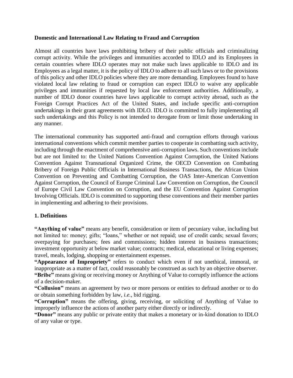## **Domestic and International Law Relating to Fraud and Corruption**

Almost all countries have laws prohibiting bribery of their public officials and criminalizing corrupt activity. While the privileges and immunities accorded to IDLO and its Employees in certain countries where IDLO operates may not make such laws applicable to IDLO and its Employees as a legal matter, it is the policy of IDLO to adhere to all such laws or to the provisions of this policy and other IDLO policies where they are more demanding. Employees found to have violated local law relating to fraud or corruption can expect IDLO to waive any applicable privileges and immunities if requested by local law enforcement authorities. Additionally, a number of IDLO donor countries have laws applicable to corrupt activity abroad, such as the Foreign Corrupt Practices Act of the United States, and include specific anti-corruption undertakings in their grant agreements with IDLO. IDLO is committed to fully implementing all such undertakings and this Policy is not intended to derogate from or limit those undertaking in any manner.

The international community has supported anti-fraud and corruption efforts through various international conventions which commit member parties to cooperate in combatting such activity, including through the enactment of comprehensive anti-corruption laws. Such conventions include but are not limited to: the United Nations Convention Against Corruption, the United Nations Convention Against Transnational Organized Crime, the OECD Convention on Combating Bribery of Foreign Public Officials in International Business Transactions, the African Union Convention on Preventing and Combatting Corruption, the OAS Inter-American Convention Against Corruption, the Council of Europe Criminal Law Convention on Corruption, the Council of Europe Civil Law Convention on Corruption, and the EU Convention Against Corruption Involving Officials. IDLO is committed to supporting these conventions and their member parties in implementing and adhering to their provisions.

## **1. Definitions**

**"Anything of value"** means any benefit, consideration or item of pecuniary value, including but not limited to: money; gifts; "loans," whether or not repaid; use of credit cards; sexual favors; overpaying for purchases; fees and commissions; hidden interest in business transactions; investment opportunity at below market value; contracts; medical, educational or living expenses; travel, meals, lodging, shopping or entertainment expenses.

**"Appearance of Impropriety"** refers to conduct which even if not unethical, immoral, or inappropriate as a matter of fact, could reasonably be construed as such by an objective observer. **"Bribe"** means giving or receiving money or Anything of Value to corruptly influence the actions of a decision-maker.

**"Collusion"** means an agreement by two or more persons or entities to defraud another or to do or obtain something forbidden by law, *i.e.*, bid rigging.

**"Corruption"** means the offering, giving, receiving, or soliciting of Anything of Value to improperly influence the actions of another party either directly or indirectly.

**"Donor"** means any public or private entity that makes a monetary or in-kind donation to IDLO of any value or type.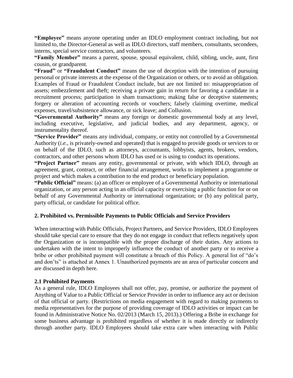**"Employee"** means anyone operating under an IDLO employment contract including, but not limited to, the Director-General as well as IDLO directors, staff members, consultants, secondees, interns, special service contractors, and volunteers.

**"Family Member"** means a parent, spouse, spousal equivalent, child, sibling, uncle, aunt, first cousin, or grandparent.

**"Fraud"** or **"Fraudulent Conduct"** means the use of deception with the intention of pursuing personal or private interests at the expense of the Organization or others, or to avoid an obligation. Examples of Fraud or Fraudulent Conduct include, but are not limited to: misappropriation of assets; embezzlement and theft; receiving a private gain in return for favoring a candidate in a recruitment process; participation in sham transactions; making false or deceptive statements; forgery or alteration of accounting records or vouchers; falsely claiming overtime, medical expenses, travel/subsistence allowance, or sick leave; and Collusion.

**"Governmental Authority"** means any foreign or domestic governmental body at any level, including executive, legislative, and judicial bodies, and any department, agency, or instrumentality thereof.

**"Service Provider"** means any individual, company, or entity not controlled by a Governmental Authority (*i.e.*, is privately-owned and operated) that is engaged to provide goods or services to or on behalf of the IDLO, such as attorneys, accountants, lobbyists, agents, brokers, vendors, contractors, and other persons whom IDLO has used or is using to conduct its operations.

**"Project Partner"** means any entity, governmental or private, with which IDLO, through an agreement, grant, contract, or other financial arrangement, works to implement a programme or project and which makes a contribution to the end product or beneficiary population.

**"Public Official"** means: (a) an officer or employee of a Governmental Authority or international organization, or any person acting in an official capacity or exercising a public function for or on behalf of any Governmental Authority or international organization; or (b) any political party, party official, or candidate for political office.

#### **2. Prohibited vs. Permissible Payments to Public Officials and Service Providers**

When interacting with Public Officials, Project Partners, and Service Providers, IDLO Employees should take special care to ensure that they do not engage in conduct that reflects negatively upon the Organization or is incompatible with the proper discharge of their duties. Any actions to undertaken with the intent to improperly influence the conduct of another party or to receive a bribe or other prohibited payment will constitute a breach of this Policy. A general list of "do's and don'ts" is attached at Annex 1. Unauthorized payments are an area of particular concern and are discussed in depth here.

## **2.1 Prohibited Payments**

As a general rule, IDLO Employees shall not offer, pay, promise, or authorize the payment of Anything of Value to a Public Official or Service Provider in order to influence any act or decision of that official or party. (Restrictions on media engagement with regard to making payments to media representatives for the purpose of providing coverage of IDLO activities or impact can be found in Administrative Notice No. 02/2013 (March 15, 2013).) Offering a Bribe in exchange for some business advantage is prohibited regardless of whether it is made directly or indirectly through another party. IDLO Employees should take extra care when interacting with Public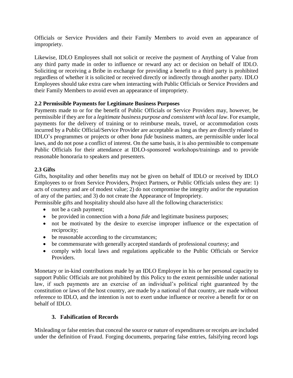Officials or Service Providers and their Family Members to avoid even an appearance of impropriety.

Likewise, IDLO Employees shall not solicit or receive the payment of Anything of Value from any third party made in order to influence or reward any act or decision on behalf of IDLO. Soliciting or receiving a Bribe in exchange for providing a benefit to a third party is prohibited regardless of whether it is solicited or received directly or indirectly through another party. IDLO Employees should take extra care when interacting with Public Officials or Service Providers and their Family Members to avoid even an appearance of impropriety.

## **2.2 Permissible Payments for Legitimate Business Purposes**

Payments made to or for the benefit of Public Officials or Service Providers may, however, be permissible if they are for a *legitimate business purpose and consistent with local law*. For example, payments for the delivery of training or to reimburse meals, travel, or accommodation costs incurred by a Public Official/Service Provider are acceptable as long as they are directly related to IDLO's programmes or projects or other *bona fide* business matters, are permissible under local laws, and do not pose a conflict of interest. On the same basis, it is also permissible to compensate Public Officials for their attendance at IDLO-sponsored workshops/trainings and to provide reasonable honoraria to speakers and presenters.

## **2.3 Gifts**

Gifts, hospitality and other benefits may not be given on behalf of IDLO or received by IDLO Employees to or from Service Providers, Project Partners, or Public Officials unless they are: 1) acts of courtesy and are of modest value; 2) do not compromise the integrity and/or the reputation of any of the parties; and 3) do not create the Appearance of Impropriety.

Permissible gifts and hospitality should also have all the following characteristics:

- not be a cash payment;
- be provided in connection with a *bona fide* and legitimate business purposes;
- not be motivated by the desire to exercise improper influence or the expectation of reciprocity;
- be reasonable according to the circumstances;
- be commensurate with generally accepted standards of professional courtesy; and
- comply with local laws and regulations applicable to the Public Officials or Service Providers.

Monetary or in-kind contributions made by an IDLO Employee in his or her personal capacity to support Public Officials are not prohibited by this Policy to the extent permissible under national law, if such payments are an exercise of an individual's political right guaranteed by the constitution or laws of the host country, are made by a national of that country, are made without reference to IDLO, and the intention is not to exert undue influence or receive a benefit for or on behalf of IDLO.

## **3. Falsification of Records**

Misleading or false entries that conceal the source or nature of expenditures or receipts are included under the definition of Fraud. Forging documents, preparing false entries, falsifying record logs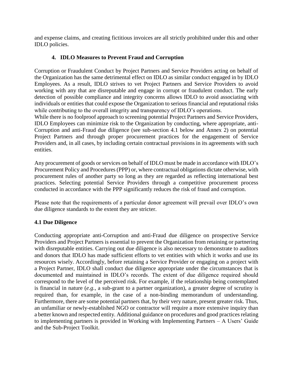and expense claims, and creating fictitious invoices are all strictly prohibited under this and other IDLO policies.

## **4. IDLO Measures to Prevent Fraud and Corruption**

Corruption or Fraudulent Conduct by Project Partners and Service Providers acting on behalf of the Organization has the same detrimental effect on IDLO as similar conduct engaged in by IDLO Employees. As a result, IDLO strives to vet Project Partners and Service Providers to avoid working with any that are disreputable and engage in corrupt or fraudulent conduct. The early detection of possible compliance and integrity concerns allows IDLO to avoid associating with individuals or entities that could expose the Organization to serious financial and reputational risks while contributing to the overall integrity and transparency of IDLO's operations.

While there is no foolproof approach to screening potential Project Partners and Service Providers, IDLO Employees can minimize risk to the Organization by conducting, where appropriate, anti-Corruption and anti-Fraud due diligence (see sub-section 4.1 below and Annex 2) on potential Project Partners and through proper procurement practices for the engagement of Service Providers and, in all cases, by including certain contractual provisions in its agreements with such entities.

Any procurement of goods or services on behalf of IDLO must be made in accordance with IDLO's Procurement Policy and Procedures (PPP) or, where contractual obligations dictate otherwise, with procurement rules of another party so long as they are regarded as reflecting international best practices. Selecting potential Service Providers through a competitive procurement process conducted in accordance with the PPP significantly reduces the risk of fraud and corruption.

Please note that the requirements of a particular donor agreement will prevail over IDLO's own due diligence standards to the extent they are stricter.

## **4.1 Due Diligence**

Conducting appropriate anti-Corruption and anti-Fraud due diligence on prospective Service Providers and Project Partners is essential to prevent the Organization from retaining or partnering with disreputable entities. Carrying out due diligence is also necessary to demonstrate to auditors and donors that IDLO has made sufficient efforts to vet entities with which it works and use its resources wisely. Accordingly, before retaining a Service Provider or engaging on a project with a Project Partner, IDLO shall conduct due diligence appropriate under the circumstances that is documented and maintained in IDLO's records. The extent of due diligence required should correspond to the level of the perceived risk. For example, if the relationship being contemplated is financial in nature (*e.g.*, a sub-grant to a partner organization), a greater degree of scrutiny is required than, for example, in the case of a non-binding memorandum of understanding. Furthermore, there are some potential partners that, by their very nature, present greater risk. Thus, an unfamiliar or newly-established NGO or contractor will require a more extensive inquiry than a better known and respected entity. Additional guidance on procedures and good practices relating to implementing partners is provided in Working with Implementing Partners – A Users' Guide and the Sub-Project Toolkit.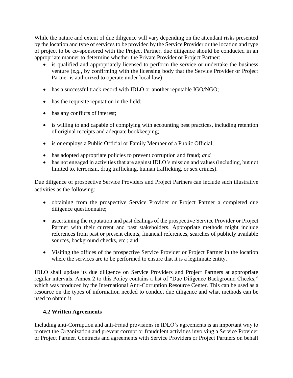While the nature and extent of due diligence will vary depending on the attendant risks presented by the location and type of services to be provided by the Service Provider or the location and type of project to be co-sponsored with the Project Partner, due diligence should be conducted in an appropriate manner to determine whether the Private Provider or Project Partner:

- is qualified and appropriately licensed to perform the service or undertake the business venture (*e.g.*, by confirming with the licensing body that the Service Provider or Project Partner is authorized to operate under local law);
- has a successful track record with IDLO or another reputable IGO/NGO;
- has the requisite reputation in the field;
- has any conflicts of interest;
- is willing to and capable of complying with accounting best practices, including retention of original receipts and adequate bookkeeping;
- is or employs a Public Official or Family Member of a Public Official;
- has adopted appropriate policies to prevent corruption and fraud; *and*
- has not engaged in activities that are against IDLO's mission and values (including, but not limited to, terrorism, drug trafficking, human trafficking, or sex crimes).

Due diligence of prospective Service Providers and Project Partners can include such illustrative activities as the following:

- obtaining from the prospective Service Provider or Project Partner a completed due diligence questionnaire;
- ascertaining the reputation and past dealings of the prospective Service Provider or Project Partner with their current and past stakeholders. Appropriate methods might include references from past or present clients, financial references, searches of publicly available sources, background checks, etc.; and
- Visiting the offices of the prospective Service Provider or Project Partner in the location where the services are to be performed to ensure that it is a legitimate entity.

IDLO shall update its due diligence on Service Providers and Project Partners at appropriate regular intervals. Annex 2 to this Policy contains a list of "Due Diligence Background Checks," which was produced by the International Anti-Corruption Resource Center. This can be used as a resource on the types of information needed to conduct due diligence and what methods can be used to obtain it.

## **4.2 Written Agreements**

Including anti-Corruption and anti-Fraud provisions in IDLO's agreements is an important way to protect the Organization and prevent corrupt or fraudulent activities involving a Service Provider or Project Partner. Contracts and agreements with Service Providers or Project Partners on behalf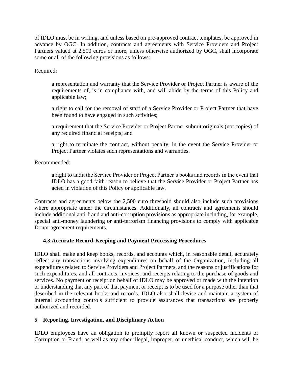of IDLO must be in writing, and unless based on pre-approved contract templates, be approved in advance by OGC. In addition, contracts and agreements with Service Providers and Project Partners valued at 2,500 euros or more, unless otherwise authorized by OGC, shall incorporate some or all of the following provisions as follows:

Required:

a representation and warranty that the Service Provider or Project Partner is aware of the requirements of, is in compliance with, and will abide by the terms of this Policy and applicable law;

a right to call for the removal of staff of a Service Provider or Project Partner that have been found to have engaged in such activities;

a requirement that the Service Provider or Project Partner submit originals (not copies) of any required financial receipts; and

a right to terminate the contract, without penalty, in the event the Service Provider or Project Partner violates such representations and warranties.

Recommended:

a right to audit the Service Provider or Project Partner's books and records in the event that IDLO has a good faith reason to believe that the Service Provider or Project Partner has acted in violation of this Policy or applicable law.

Contracts and agreements below the 2,500 euro threshold should also include such provisions where appropriate under the circumstances. Additionally, all contracts and agreements should include additional anti-fraud and anti-corruption provisions as appropriate including, for example, special anti-money laundering or anti-terrorism financing provisions to comply with applicable Donor agreement requirements.

## **4.3 Accurate Record-Keeping and Payment Processing Procedures**

IDLO shall make and keep books, records, and accounts which, in reasonable detail, accurately reflect any transactions involving expenditures on behalf of the Organization, including all expenditures related to Service Providers and Project Partners, and the reasons or justifications for such expenditures, and all contracts, invoices, and receipts relating to the purchase of goods and services. No payment or receipt on behalf of IDLO may be approved or made with the intention or understanding that any part of that payment or receipt is to be used for a purpose other than that described in the relevant books and records. IDLO also shall devise and maintain a system of internal accounting controls sufficient to provide assurances that transactions are properly authorized and recorded.

## **5 Reporting, Investigation, and Disciplinary Action**

IDLO employees have an obligation to promptly report all known or suspected incidents of Corruption or Fraud, as well as any other illegal, improper, or unethical conduct, which will be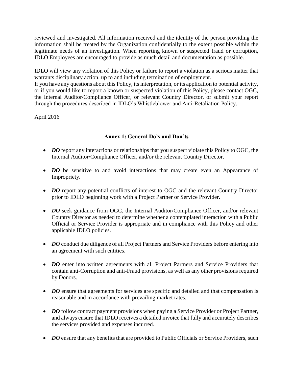reviewed and investigated. All information received and the identity of the person providing the information shall be treated by the Organization confidentially to the extent possible within the legitimate needs of an investigation. When reporting known or suspected fraud or corruption, IDLO Employees are encouraged to provide as much detail and documentation as possible.

IDLO will view any violation of this Policy or failure to report a violation as a serious matter that warrants disciplinary action, up to and including termination of employment.

If you have any questions about this Policy, its interpretation, or its application to potential activity, or if you would like to report a known or suspected violation of this Policy, please contact OGC, the Internal Auditor/Compliance Officer, or relevant Country Director, or submit your report through the procedures described in IDLO's Whistleblower and Anti-Retaliation Policy.

April 2016

## **Annex 1: General Do's and Don'ts**

- *DO* report any interactions or relationships that you suspect violate this Policy to OGC, the Internal Auditor/Compliance Officer, and/or the relevant Country Director.
- *DO* be sensitive to and avoid interactions that may create even an Appearance of Impropriety.
- *DO* report any potential conflicts of interest to OGC and the relevant Country Director prior to IDLO beginning work with a Project Partner or Service Provider.
- *DO* seek guidance from OGC, the Internal Auditor/Compliance Officer, and/or relevant Country Director as needed to determine whether a contemplated interaction with a Public Official or Service Provider is appropriate and in compliance with this Policy and other applicable IDLO policies.
- *DO* conduct due diligence of all Project Partners and Service Providers before entering into an agreement with such entities.
- *DO* enter into written agreements with all Project Partners and Service Providers that contain anti-Corruption and anti-Fraud provisions, as well as any other provisions required by Donors.
- *DO* ensure that agreements for services are specific and detailed and that compensation is reasonable and in accordance with prevailing market rates.
- *DO* follow contract payment provisions when paying a Service Provider or Project Partner, and always ensure that IDLO receives a detailed invoice that fully and accurately describes the services provided and expenses incurred.
- *DO* ensure that any benefits that are provided to Public Officials or Service Providers, such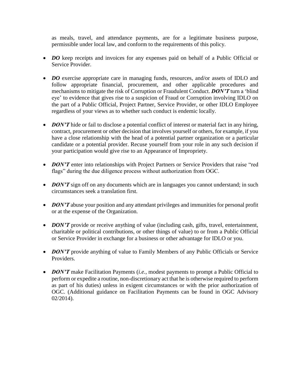as meals, travel, and attendance payments, are for a legitimate business purpose, permissible under local law, and conform to the requirements of this policy.

- *DO* keep receipts and invoices for any expenses paid on behalf of a Public Official or Service Provider.
- *DO* exercise appropriate care in managing funds, resources, and/or assets of IDLO and follow appropriate financial, procurement, and other applicable procedures and mechanisms to mitigate the risk of Corruption or Fraudulent Conduct. *DON'T* turn a 'blind eye' to evidence that gives rise to a suspicion of Fraud or Corruption involving IDLO on the part of a Public Official, Project Partner, Service Provider, or other IDLO Employee regardless of your views as to whether such conduct is endemic locally.
- *DON'T* hide or fail to disclose a potential conflict of interest or material fact in any hiring, contract, procurement or other decision that involves yourself or others, for example, if you have a close relationship with the head of a potential partner organization or a particular candidate or a potential provider. Recuse yourself from your role in any such decision if your participation would give rise to an Appearance of Impropriety.
- *DON'T* enter into relationships with Project Partners or Service Providers that raise "red flags" during the due diligence process without authorization from OGC.
- *DON'T* sign off on any documents which are in languages you cannot understand; in such circumstances seek a translation first.
- *DON'T* abuse your position and any attendant privileges and immunities for personal profit or at the expense of the Organization.
- *DON'T* provide or receive anything of value (including cash, gifts, travel, entertainment, charitable or political contributions, or other things of value) to or from a Public Official or Service Provider in exchange for a business or other advantage for IDLO or you.
- *DON'T* provide anything of value to Family Members of any Public Officials or Service Providers.
- *DON'T* make Facilitation Payments (*i.e.*, modest payments to prompt a Public Official to perform or expedite a routine, non-discretionary act that he is otherwise required to perform as part of his duties) unless in exigent circumstances or with the prior authorization of OGC. (Additional guidance on Facilitation Payments can be found in OGC Advisory 02/2014).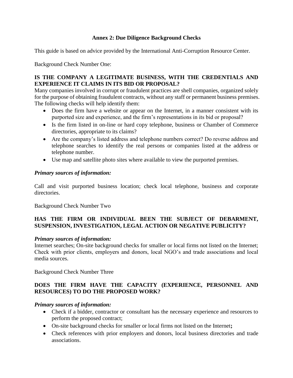## **Annex 2: Due Diligence Background Checks**

This guide is based on advice provided by the International Anti-Corruption Resource Center.

Background Check Number One:

## **IS THE COMPANY A LEGITIMATE BUSINESS, WITH THE CREDENTIALS AND EXPERIENCE IT CLAIMS IN ITS BID OR PROPOSAL?**

Many companies involved in corrupt or fraudulent practices are shell companies, organized solely for the purpose of obtaining fraudulent contracts, without any staff or permanent business premises. The following checks will help identify them:

- Does the firm have a website or appear on the Internet, in a manner consistent with its purported size and experience, and the firm's representations in its bid or proposal?
- Is the firm listed in on-line or hard copy telephone, business or Chamber of Commerce directories, appropriate to its claims?
- Are the company's listed address and telephone numbers correct? Do reverse address and telephone searches to identify the real persons or companies listed at the address or telephone number.
- Use map and satellite photo sites where available to view the purported premises.

## *Primary sources of information:*

Call and visit purported business location; check local telephone, business and corporate directories.

Background Check Number Two

## **HAS THE FIRM OR INDIVIDUAL BEEN THE SUBJECT OF DEBARMENT, SUSPENSION, INVESTIGATION, LEGAL ACTION OR NEGATIVE PUBLICITY?**

## *Primary sources of information:*

Internet searches; On-site background checks for smaller or local firms not listed on the Internet; Check with prior clients, employers and donors, local NGO's and trade associations and local media sources.

Background Check Number Three

## **DOES THE FIRM HAVE THE CAPACITY (EXPERIENCE, PERSONNEL AND RESOURCES) TO DO THE PROPOSED WORK?**

## *Primary sources of information:*

- Check if a bidder, contractor or consultant has the necessary experience and resources to perform the proposed contract;
- On-site background checks for smaller or local firms not listed on the Internet**;**
- Check references with prior employers and donors, local business directories and trade associations.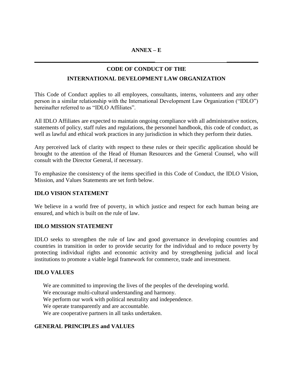**\_\_\_\_\_\_\_\_\_\_\_\_\_\_\_\_\_\_\_\_\_\_\_\_\_\_\_\_\_\_\_\_\_\_\_\_\_\_\_\_\_\_ \_\_\_\_\_\_\_\_\_\_\_**

## **CODE OF CONDUCT OF THE**

## **INTERNATIONAL DEVELOPMENT LAW ORGANIZATION**

This Code of Conduct applies to all employees, consultants, interns, volunteers and any other person in a similar relationship with the International Development Law Organization ("IDLO") hereinafter referred to as "IDLO Affiliates".

All IDLO Affiliates are expected to maintain ongoing compliance with all administrative notices, statements of policy, staff rules and regulations, the personnel handbook, this code of conduct, as well as lawful and ethical work practices in any jurisdiction in which they perform their duties.

Any perceived lack of clarity with respect to these rules or their specific application should be brought to the attention of the Head of Human Resources and the General Counsel, who will consult with the Director General, if necessary.

To emphasize the consistency of the items specified in this Code of Conduct, the IDLO Vision, Mission, and Values Statements are set forth below.

## **IDLO VISION STATEMENT**

We believe in a world free of poverty, in which justice and respect for each human being are ensured, and which is built on the rule of law.

## **IDLO MISSION STATEMENT**

IDLO seeks to strengthen the rule of law and good governance in developing countries and countries in transition in order to provide security for the individual and to reduce poverty by protecting individual rights and economic activity and by strengthening judicial and local institutions to promote a viable legal framework for commerce, trade and investment.

## **IDLO VALUES**

We are committed to improving the lives of the peoples of the developing world. We encourage multi-cultural understanding and harmony. We perform our work with political neutrality and independence. We operate transparently and are accountable. We are cooperative partners in all tasks undertaken.

## **GENERAL PRINCIPLES and VALUES**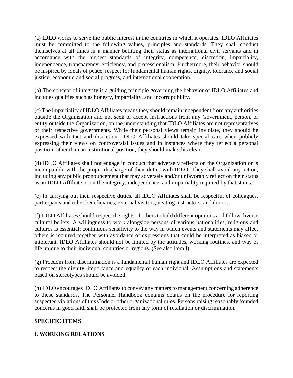(a) IDLO works to serve the public interest in the countries in which it operates. IDLO Affiliates must be committed to the following values, principles and standards. They shall conduct themselves at all times in a manner befitting their status as international civil servants and in accordance with the highest standards of integrity, competence, discretion, impartiality, independence, transparency, efficiency, and professionalism. Furthermore, their behavior should be inspired by ideals of peace, respect for fundamental human rights, dignity, tolerance and social justice, economic and social progress, and international cooperation.

(b) The concept of integrity is a guiding principle governing the behavior of IDLO Affiliates and includes qualities such as honesty, impartiality, and incorruptibility.

(c) The impartiality of IDLO Affiliates means they should remain independent from any authorities outside the Organization and not seek or accept instructions from any Government, person, or entity outside the Organization, on the understanding that IDLO Affiliates are not representatives of their respective governments. While their personal views remain inviolate, they should be expressed with tact and discretion. IDLO Affiliates should take special care when publicly expressing their views on controversial issues and in instances where they reflect a personal position rather than an institutional position, they should make this clear.

(d) IDLO Affiliates shall not engage in conduct that adversely reflects on the Organization or is incompatible with the proper discharge of their duties with IDLO. They shall avoid any action, including any public pronouncement that may adversely and/or unfavorably reflect on their status as an IDLO Affiliate or on the integrity, independence, and impartiality required by that status.

(e) In carrying out their respective duties, all IDLO Affiliates shall be respectful of colleagues, participants and other beneficiaries, external visitors, visiting instructors, and donors.

(f) IDLO Affiliates should respect the rights of others to hold different opinions and follow diverse cultural beliefs. A willingness to work alongside persons of various nationalities, religions and cultures is essential; continuous sensitivity to the way in which events and statements may affect others is required together with avoidance of expressions that could be interpreted as biased or intolerant. IDLO Affiliates should not be limited by the attitudes, working routines, and way of life unique to their individual countries or regions. (See also item I)

(g) Freedom from discrimination is a fundamental human right and IDLO Affiliates are expected to respect the dignity, importance and equality of each individual. Assumptions and statements based on stereotypes should be avoided.

(h) IDLO encourages IDLO Affiliates to convey any matters to management concerning adherence to these standards. The Personnel Handbook contains details on the procedure for reporting suspected violations of this Code or other organizational rules. Persons raising reasonably founded concerns in good faith shall be protected from any form of retaliation or discrimination.

## **SPECIFIC ITEMS**

## **I. WORKING RELATIONS**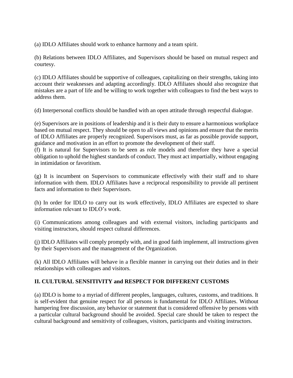(a) IDLO Affiliates should work to enhance harmony and a team spirit.

(b) Relations between IDLO Affiliates, and Supervisors should be based on mutual respect and courtesy.

(c) IDLO Affiliates should be supportive of colleagues, capitalizing on their strengths, taking into account their weaknesses and adapting accordingly. IDLO Affiliates should also recognize that mistakes are a part of life and be willing to work together with colleagues to find the best ways to address them.

(d) Interpersonal conflicts should be handled with an open attitude through respectful dialogue.

(e) Supervisors are in positions of leadership and it is their duty to ensure a harmonious workplace based on mutual respect. They should be open to all views and opinions and ensure that the merits of IDLO Affiliates are properly recognized. Supervisors must, as far as possible provide support, guidance and motivation in an effort to promote the development of their staff.

(f) It is natural for Supervisors to be seen as role models and therefore they have a special obligation to uphold the highest standards of conduct. They must act impartially, without engaging in intimidation or favoritism.

(g) It is incumbent on Supervisors to communicate effectively with their staff and to share information with them. IDLO Affiliates have a reciprocal responsibility to provide all pertinent facts and information to their Supervisors.

(h) In order for IDLO to carry out its work effectively, IDLO Affiliates are expected to share information relevant to IDLO's work.

(i) Communications among colleagues and with external visitors, including participants and visiting instructors, should respect cultural differences.

(j) IDLO Affiliates will comply promptly with, and in good faith implement, all instructions given by their Supervisors and the management of the Organization.

(k) All IDLO Affiliates will behave in a flexible manner in carrying out their duties and in their relationships with colleagues and visitors.

## **II. CULTURAL SENSITIVITY and RESPECT FOR DIFFERENT CUSTOMS**

(a) IDLO is home to a myriad of different peoples, languages, cultures, customs, and traditions. It is self-evident that genuine respect for all persons is fundamental for IDLO Affiliates. Without hampering free discussion, any behavior or statement that is considered offensive by persons with a particular cultural background should be avoided. Special care should be taken to respect the cultural background and sensitivity of colleagues, visitors, participants and visiting instructors.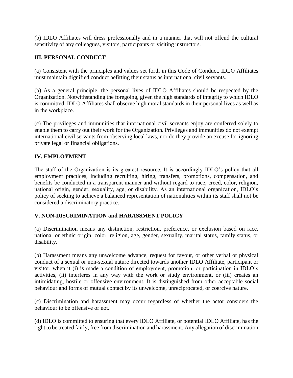(b) IDLO Affiliates will dress professionally and in a manner that will not offend the cultural sensitivity of any colleagues, visitors, participants or visiting instructors.

## **III. PERSONAL CONDUCT**

(a) Consistent with the principles and values set forth in this Code of Conduct, IDLO Affiliates must maintain dignified conduct befitting their status as international civil servants.

(b) As a general principle, the personal lives of IDLO Affiliates should be respected by the Organization. Notwithstanding the foregoing, given the high standards of integrity to which IDLO is committed, IDLO Affiliates shall observe high moral standards in their personal lives as well as in the workplace.

(c) The privileges and immunities that international civil servants enjoy are conferred solely to enable them to carry out their work for the Organization. Privileges and immunities do not exempt international civil servants from observing local laws, nor do they provide an excuse for ignoring private legal or financial obligations.

## **IV. EMPLOYMENT**

The staff of the Organization is its greatest resource. It is accordingly IDLO's policy that all employment practices, including recruiting, hiring, transfers, promotions, compensation, and benefits be conducted in a transparent manner and without regard to race, creed, color, religion, national origin, gender, sexuality, age, or disability. As an international organization, IDLO's policy of seeking to achieve a balanced representation of nationalities within its staff shall not be considered a discriminatory practice.

## **V. NON-DISCRIMINATION and HARASSMENT POLICY**

(a) Discrimination means any distinction, restriction, preference, or exclusion based on race, national or ethnic origin, color, religion, age, gender, sexuality, marital status, family status, or disability.

(b) Harassment means any unwelcome advance, request for favour, or other verbal or physical conduct of a sexual or non-sexual nature directed towards another IDLO Affiliate, participant or visitor, when it (i) is made a condition of employment, promotion, or participation in IDLO's activities, (ii) interferes in any way with the work or study environment, or (iii) creates an intimidating, hostile or offensive environment. It is distinguished from other acceptable social behaviour and forms of mutual contact by its unwelcome, unreciprocated, or coercive nature.

(c) Discrimination and harassment may occur regardless of whether the actor considers the behaviour to be offensive or not.

(d) IDLO is committed to ensuring that every IDLO Affiliate, or potential IDLO Affiliate, has the right to be treated fairly, free from discrimination and harassment. Any allegation of discrimination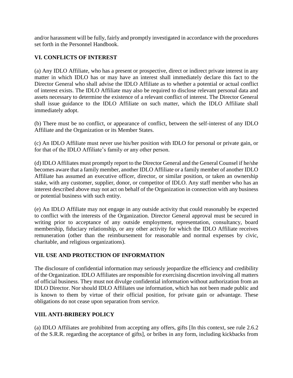and/or harassment will be fully, fairly and promptly investigated in accordance with the procedures set forth in the Personnel Handbook.

## **VI. CONFLICTS OF INTEREST**

(a) Any IDLO Affiliate, who has a present or prospective, direct or indirect private interest in any matter in which IDLO has or may have an interest shall immediately declare this fact to the Director General who shall advise the IDLO Affiliate as to whether a potential or actual conflict of interest exists. The IDLO Affiliate may also be required to disclose relevant personal data and assets necessary to determine the existence of a relevant conflict of interest. The Director General shall issue guidance to the IDLO Affiliate on such matter, which the IDLO Affiliate shall immediately adopt.

(b) There must be no conflict, or appearance of conflict, between the self-interest of any IDLO Affiliate and the Organization or its Member States.

(c) An IDLO Affiliate must never use his/her position with IDLO for personal or private gain, or for that of the IDLO Affiliate's family or any other person.

(d) IDLO Affiliates must promptly report to the Director General and the General Counsel if he/she becomes aware that a family member, another IDLO Affiliate or a family member of another IDLO Affiliate has assumed an executive officer, director, or similar position, or taken an ownership stake, with any customer, supplier, donor, or competitor of IDLO. Any staff member who has an interest described above may not act on behalf of the Organization in connection with any business or potential business with such entity.

(e) An IDLO Affiliate may not engage in any outside activity that could reasonably be expected to conflict with the interests of the Organization. Director General approval must be secured in writing prior to acceptance of any outside employment, representation, consultancy, board membership, fiduciary relationship, or any other activity for which the IDLO Affiliate receives remuneration (other than the reimbursement for reasonable and normal expenses by civic, charitable, and religious organizations).

## **VII. USE AND PROTECTION OF INFORMATION**

The disclosure of confidential information may seriously jeopardize the efficiency and credibility of the Organization. IDLO Affiliates are responsible for exercising discretion involving all matters of official business. They must not divulge confidential information without authorization from an IDLO Director. Nor should IDLO Affiliates use information, which has not been made public and is known to them by virtue of their official position, for private gain or advantage. These obligations do not cease upon separation from service.

## **VIII. ANTI-BRIBERY POLICY**

(a) IDLO Affiliates are prohibited from accepting any offers, gifts [In this context, see rule 2.6.2 of the S.R.R. regarding the acceptance of gifts], or bribes in any form, including kickbacks from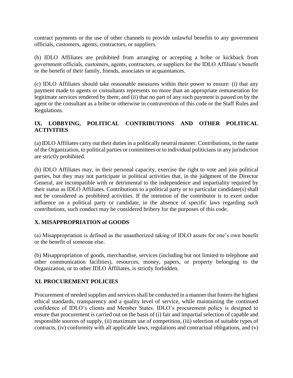contract payments or the use of other channels to provide unlawful benefits to any government officials, customers, agents, contractors, or suppliers.

(b) IDLO Affiliates are prohibited from arranging or accepting a bribe or kickback from government officials, customers, agents, contractors, or suppliers for the IDLO Affiliate's benefit or the benefit of their family, friends, associates or acquaintances.

(c) IDLO Affiliates should take reasonable measures within their power to ensure: (i) that any payment made to agents or consultants represents no more than an appropriate remuneration for legitimate services rendered by them; and (ii) that no part of any such payment is passed on by the agent or the consultant as a bribe or otherwise in contravention of this code or the Staff Rules and Regulations.

## **IX. LOBBYING, POLITICAL CONTRIBUTIONS AND OTHER POLITICAL ACTIVITIES**

(a) IDLO Affiliates carry out their duties in a politically neutral manner. Contributions, in the name of the Organization, to political parties or committees or to individual politicians in any jurisdiction are strictly prohibited.

(b) IDLO Affiliates may, in their personal capacity, exercise the right to vote and join political parties, but they may not participate in political activities that, in the judgment of the Director General, are incompatible with or detrimental to the independence and impartiality required by their status as IDLO Affiliates. Contributions to a political party or to particular candidate(s) shall not be considered as prohibited activities. If the intention of the contributor is to exert undue influence on a political party or candidate, in the absence of specific laws regarding such contributions, such conduct may be considered bribery for the purposes of this code.

## **X. MISAPPROPRIATION of GOODS**

(a) Misappropriation is defined as the unauthorized taking of IDLO assets for one's own benefit or the benefit of someone else.

(b) Misappropriation of goods, merchandise, services (including but not limited to telephone and other communication facilities), resources, money, papers, or property belonging to the Organization, or to other IDLO Affiliates, is strictly forbidden.

## **XI. PROCUREMENT POLICIES**

Procurement of needed supplies and services shall be conducted in a manner that fosters the highest ethical standards, transparency and a quality level of service, while maintaining the continued confidence of IDLO's clients and Member States. IDLO's procurement policy is designed to ensure that procurement is carried out on the basis of (i) fair and impartial selection of capable and responsible sources of supply, (ii) maximum use of competition, (iii) selection of suitable types of contracts, (iv) conformity with all applicable laws, regulations and contractual obligations, and (v)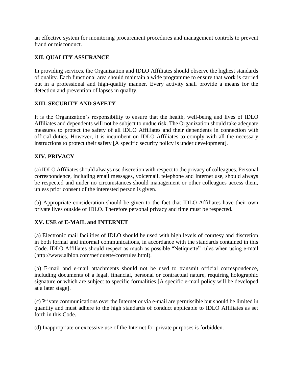an effective system for monitoring procurement procedures and management controls to prevent fraud or misconduct.

## **XII. QUALITY ASSURANCE**

In providing services, the Organization and IDLO Affiliates should observe the highest standards of quality. Each functional area should maintain a wide programme to ensure that work is carried out in a professional and high-quality manner. Every activity shall provide a means for the detection and prevention of lapses in quality.

## **XIII. SECURITY AND SAFETY**

It is the Organization's responsibility to ensure that the health, well-being and lives of IDLO Affiliates and dependents will not be subject to undue risk. The Organization should take adequate measures to protect the safety of all IDLO Affiliates and their dependents in connection with official duties. However, it is incumbent on IDLO Affiliates to comply with all the necessary instructions to protect their safety [A specific security policy is under development].

## **XIV. PRIVACY**

(a) IDLO Affiliates should always use discretion with respect to the privacy of colleagues. Personal correspondence, including email messages, voicemail, telephone and Internet use, should always be respected and under no circumstances should management or other colleagues access them, unless prior consent of the interested person is given.

(b) Appropriate consideration should be given to the fact that IDLO Affiliates have their own private lives outside of IDLO. Therefore personal privacy and time must be respected.

#### **XV. USE of E-MAIL and INTERNET**

(a) Electronic mail facilities of IDLO should be used with high levels of courtesy and discretion in both formal and informal communications, in accordance with the standards contained in this Code. IDLO Affiliates should respect as much as possible "Netiquette" rules when using e-mail (http://www.albion.com/netiquette/corerules.html).

(b) E-mail and e-mail attachments should not be used to transmit official correspondence, including documents of a legal, financial, personal or contractual nature, requiring holographic signature or which are subject to specific formalities [A specific e-mail policy will be developed at a later stage].

(c) Private communications over the Internet or via e-mail are permissible but should be limited in quantity and must adhere to the high standards of conduct applicable to IDLO Affiliates as set forth in this Code.

(d) Inappropriate or excessive use of the Internet for private purposes is forbidden.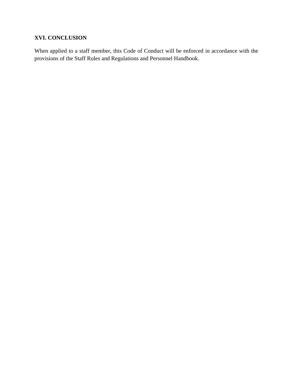## **XVI. CONCLUSION**

When applied to a staff member, this Code of Conduct will be enforced in accordance with the provisions of the Staff Rules and Regulations and Personnel Handbook.